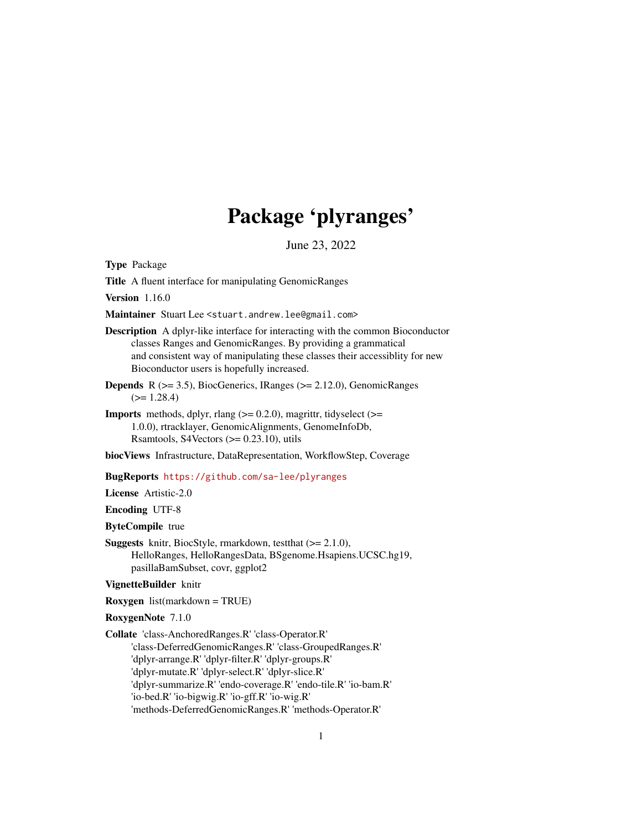# Package 'plyranges'

June 23, 2022

<span id="page-0-0"></span>Type Package

Title A fluent interface for manipulating GenomicRanges

Version 1.16.0

Maintainer Stuart Lee <stuart.andrew.lee@gmail.com>

Description A dplyr-like interface for interacting with the common Bioconductor classes Ranges and GenomicRanges. By providing a grammatical and consistent way of manipulating these classes their accessiblity for new Bioconductor users is hopefully increased.

- **Depends** R  $(>= 3.5)$ , BiocGenerics, IRanges  $(>= 2.12.0)$ , GenomicRanges  $(>= 1.28.4)$
- **Imports** methods, dplyr, rlang  $(>= 0.2.0)$ , magrittr, tidyselect  $(>= 0.2.0)$ 1.0.0), rtracklayer, GenomicAlignments, GenomeInfoDb, Rsamtools, S4Vectors  $(>= 0.23.10)$ , utils

biocViews Infrastructure, DataRepresentation, WorkflowStep, Coverage

BugReports <https://github.com/sa-lee/plyranges>

License Artistic-2.0

Encoding UTF-8

ByteCompile true

**Suggests** knitr, BiocStyle, rmarkdown, test that  $(>= 2.1.0)$ , HelloRanges, HelloRangesData, BSgenome.Hsapiens.UCSC.hg19, pasillaBamSubset, covr, ggplot2

VignetteBuilder knitr

Roxygen list(markdown = TRUE)

RoxygenNote 7.1.0

Collate 'class-AnchoredRanges.R' 'class-Operator.R'

'class-DeferredGenomicRanges.R' 'class-GroupedRanges.R' 'dplyr-arrange.R' 'dplyr-filter.R' 'dplyr-groups.R'

'dplyr-mutate.R' 'dplyr-select.R' 'dplyr-slice.R'

'dplyr-summarize.R' 'endo-coverage.R' 'endo-tile.R' 'io-bam.R'

'io-bed.R' 'io-bigwig.R' 'io-gff.R' 'io-wig.R'

'methods-DeferredGenomicRanges.R' 'methods-Operator.R'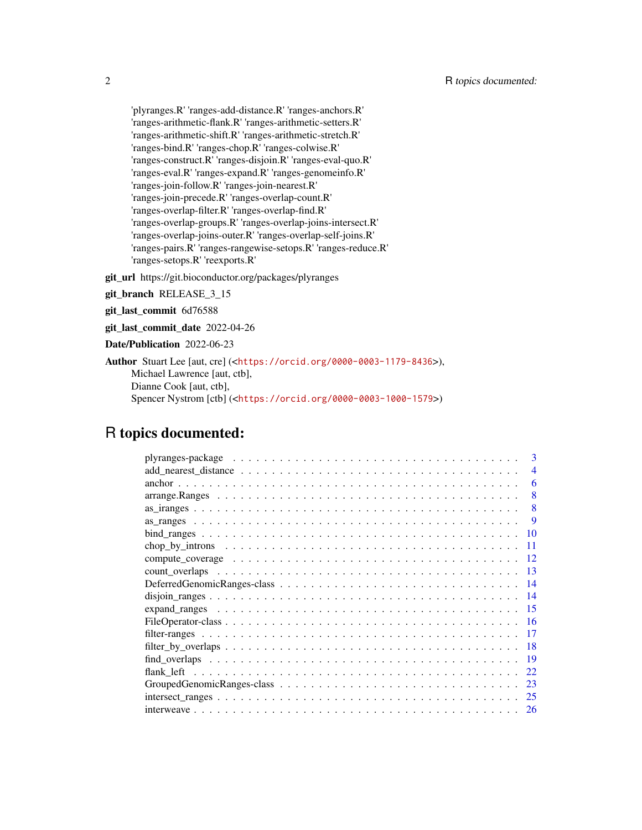'plyranges.R' 'ranges-add-distance.R' 'ranges-anchors.R' 'ranges-arithmetic-flank.R' 'ranges-arithmetic-setters.R' 'ranges-arithmetic-shift.R' 'ranges-arithmetic-stretch.R' 'ranges-bind.R' 'ranges-chop.R' 'ranges-colwise.R' 'ranges-construct.R' 'ranges-disjoin.R' 'ranges-eval-quo.R' 'ranges-eval.R' 'ranges-expand.R' 'ranges-genomeinfo.R' 'ranges-join-follow.R' 'ranges-join-nearest.R' 'ranges-join-precede.R' 'ranges-overlap-count.R' 'ranges-overlap-filter.R' 'ranges-overlap-find.R' 'ranges-overlap-groups.R' 'ranges-overlap-joins-intersect.R' 'ranges-overlap-joins-outer.R' 'ranges-overlap-self-joins.R' 'ranges-pairs.R' 'ranges-rangewise-setops.R' 'ranges-reduce.R' 'ranges-setops.R' 'reexports.R'

git\_url https://git.bioconductor.org/packages/plyranges

git\_branch RELEASE\_3\_15

git\_last\_commit 6d76588

git\_last\_commit\_date 2022-04-26

```
Date/Publication 2022-06-23
```
Author Stuart Lee [aut, cre] (<<https://orcid.org/0000-0003-1179-8436>>), Michael Lawrence [aut, ctb], Dianne Cook [aut, ctb], Spencer Nystrom [ctb] (<<https://orcid.org/0000-0003-1000-1579>>)

# R topics documented:

| 3              |
|----------------|
| $\overline{A}$ |
| 6              |
| 8              |
| 8              |
| 9              |
| 10             |
| 11             |
| 12             |
| 13             |
| -14            |
| - 14           |
| - 15           |
| -16            |
| 17             |
| -18            |
| -19            |
| 22             |
| 23             |
| 25             |
| 26             |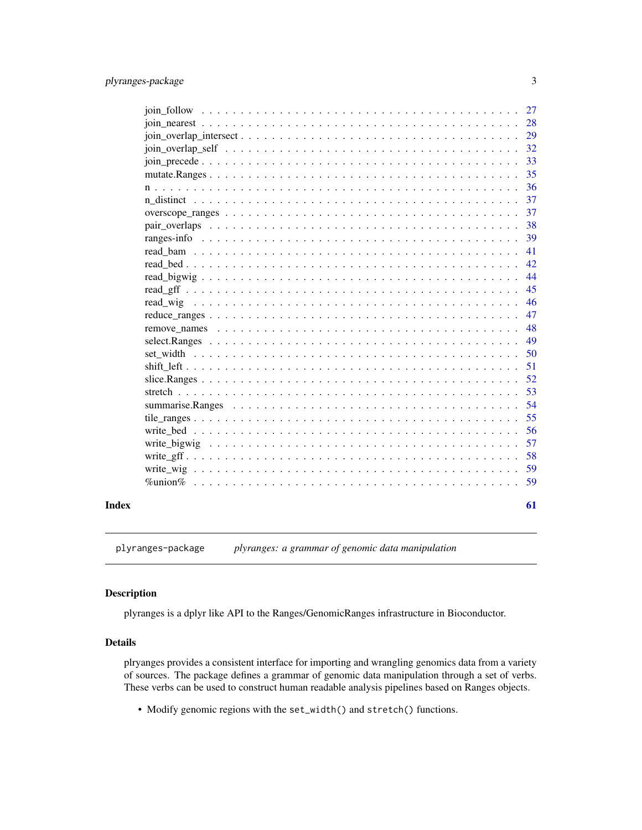<span id="page-2-0"></span>

|  |  |  |  |  |  |  |  |  |  |  |  |  |  |  |  | 28 |
|--|--|--|--|--|--|--|--|--|--|--|--|--|--|--|--|----|
|  |  |  |  |  |  |  |  |  |  |  |  |  |  |  |  | 29 |
|  |  |  |  |  |  |  |  |  |  |  |  |  |  |  |  | 32 |
|  |  |  |  |  |  |  |  |  |  |  |  |  |  |  |  | 33 |
|  |  |  |  |  |  |  |  |  |  |  |  |  |  |  |  | 35 |
|  |  |  |  |  |  |  |  |  |  |  |  |  |  |  |  | 36 |
|  |  |  |  |  |  |  |  |  |  |  |  |  |  |  |  | 37 |
|  |  |  |  |  |  |  |  |  |  |  |  |  |  |  |  | 37 |
|  |  |  |  |  |  |  |  |  |  |  |  |  |  |  |  | 38 |
|  |  |  |  |  |  |  |  |  |  |  |  |  |  |  |  | 39 |
|  |  |  |  |  |  |  |  |  |  |  |  |  |  |  |  | 41 |
|  |  |  |  |  |  |  |  |  |  |  |  |  |  |  |  | 42 |
|  |  |  |  |  |  |  |  |  |  |  |  |  |  |  |  | 44 |
|  |  |  |  |  |  |  |  |  |  |  |  |  |  |  |  | 45 |
|  |  |  |  |  |  |  |  |  |  |  |  |  |  |  |  | 46 |
|  |  |  |  |  |  |  |  |  |  |  |  |  |  |  |  | 47 |
|  |  |  |  |  |  |  |  |  |  |  |  |  |  |  |  | 48 |
|  |  |  |  |  |  |  |  |  |  |  |  |  |  |  |  | 49 |
|  |  |  |  |  |  |  |  |  |  |  |  |  |  |  |  | 50 |
|  |  |  |  |  |  |  |  |  |  |  |  |  |  |  |  | 51 |
|  |  |  |  |  |  |  |  |  |  |  |  |  |  |  |  | 52 |
|  |  |  |  |  |  |  |  |  |  |  |  |  |  |  |  | 53 |
|  |  |  |  |  |  |  |  |  |  |  |  |  |  |  |  | 54 |
|  |  |  |  |  |  |  |  |  |  |  |  |  |  |  |  | 55 |
|  |  |  |  |  |  |  |  |  |  |  |  |  |  |  |  | 56 |
|  |  |  |  |  |  |  |  |  |  |  |  |  |  |  |  | 57 |
|  |  |  |  |  |  |  |  |  |  |  |  |  |  |  |  | 58 |
|  |  |  |  |  |  |  |  |  |  |  |  |  |  |  |  | 59 |
|  |  |  |  |  |  |  |  |  |  |  |  |  |  |  |  | 59 |
|  |  |  |  |  |  |  |  |  |  |  |  |  |  |  |  | 61 |

plyranges-package *plyranges: a grammar of genomic data manipulation*

# Description

plyranges is a dplyr like API to the Ranges/GenomicRanges infrastructure in Bioconductor.

# Details

plryanges provides a consistent interface for importing and wrangling genomics data from a variety of sources. The package defines a grammar of genomic data manipulation through a set of verbs. These verbs can be used to construct human readable analysis pipelines based on Ranges objects.

• Modify genomic regions with the set\_width() and stretch() functions.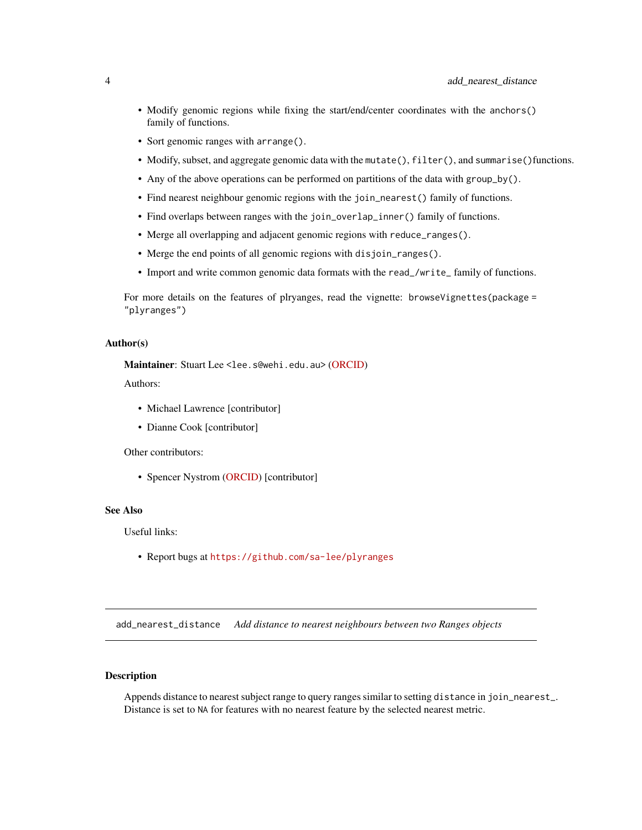- <span id="page-3-0"></span>• Modify genomic regions while fixing the start/end/center coordinates with the anchors() family of functions.
- Sort genomic ranges with arrange().
- Modify, subset, and aggregate genomic data with the mutate(), filter(), and summarise()functions.
- Any of the above operations can be performed on partitions of the data with group\_by().
- Find nearest neighbour genomic regions with the join\_nearest() family of functions.
- Find overlaps between ranges with the join\_overlap\_inner() family of functions.
- Merge all overlapping and adjacent genomic regions with reduce\_ranges().
- Merge the end points of all genomic regions with disjoin\_ranges().
- Import and write common genomic data formats with the read\_/write\_ family of functions.

For more details on the features of plryanges, read the vignette: browseVignettes(package = "plyranges")

#### Author(s)

Maintainer: Stuart Lee <lee.s@wehi.edu.au> [\(ORCID\)](https://orcid.org/0000-0003-1179-8436)

Authors:

- Michael Lawrence [contributor]
- Dianne Cook [contributor]

Other contributors:

• Spencer Nystrom [\(ORCID\)](https://orcid.org/0000-0003-1000-1579) [contributor]

#### See Also

Useful links:

• Report bugs at <https://github.com/sa-lee/plyranges>

add\_nearest\_distance *Add distance to nearest neighbours between two Ranges objects*

# **Description**

Appends distance to nearest subject range to query ranges similar to setting distance in join\_nearest\_. Distance is set to NA for features with no nearest feature by the selected nearest metric.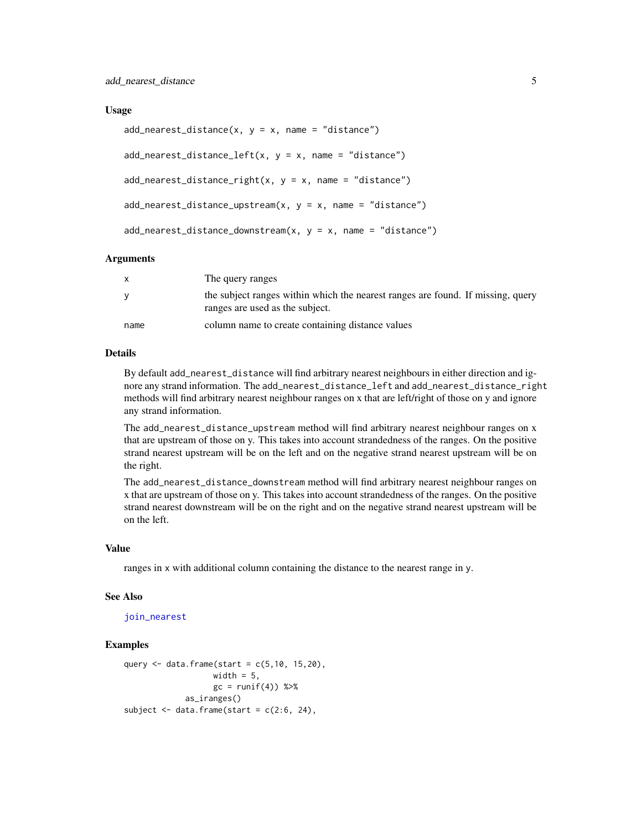#### <span id="page-4-0"></span>Usage

```
add\_nearest\_distance(x, y = x, name = "distance")add\_nearest\_distance\_left(x, y = x, name = "distance")add\_nearest\_distance\_right(x, y = x, name = "distance")add\_nearest\_distance\_upstream(x, y = x, name = "distance")add\_nearest\_distance\_downstream(x, y = x, name = "distance")
```
#### Arguments

|      | The query ranges                                                                                                   |
|------|--------------------------------------------------------------------------------------------------------------------|
| v    | the subject ranges within which the nearest ranges are found. If missing, query<br>ranges are used as the subject. |
| name | column name to create containing distance values                                                                   |

#### Details

By default add\_nearest\_distance will find arbitrary nearest neighbours in either direction and ignore any strand information. The add\_nearest\_distance\_left and add\_nearest\_distance\_right methods will find arbitrary nearest neighbour ranges on x that are left/right of those on y and ignore any strand information.

The add\_nearest\_distance\_upstream method will find arbitrary nearest neighbour ranges on x that are upstream of those on y. This takes into account strandedness of the ranges. On the positive strand nearest upstream will be on the left and on the negative strand nearest upstream will be on the right.

The add\_nearest\_distance\_downstream method will find arbitrary nearest neighbour ranges on x that are upstream of those on y. This takes into account strandedness of the ranges. On the positive strand nearest downstream will be on the right and on the negative strand nearest upstream will be on the left.

#### Value

ranges in x with additional column containing the distance to the nearest range in y.

#### See Also

[join\\_nearest](#page-27-1)

```
query \leq - data.frame(start = c(5, 10, 15, 20),
                   width = 5,
                   gc = runif(4)) %as_iranges()
subject \leq data.frame(start = c(2:6, 24),
```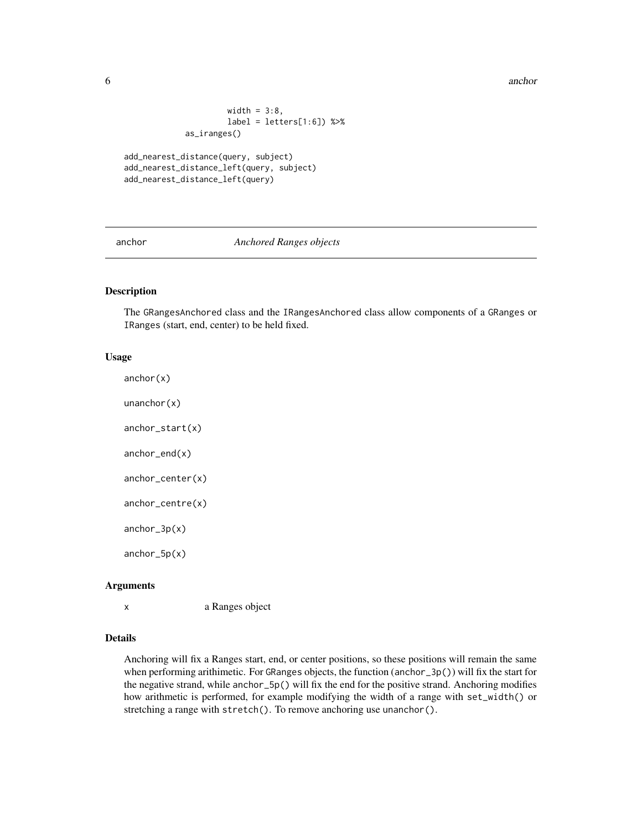<span id="page-5-0"></span>6 anchor and the contract of the contract of the contract of the contract of the contract of the contract of the contract of the contract of the contract of the contract of the contract of the contract of the contract of t

```
width = 3:8,
         label = letters[1:6]) %>%
as_iranges()
```

```
add_nearest_distance(query, subject)
add_nearest_distance_left(query, subject)
add_nearest_distance_left(query)
```
anchor *Anchored Ranges objects*

# Description

The GRangesAnchored class and the IRangesAnchored class allow components of a GRanges or IRanges (start, end, center) to be held fixed.

# Usage

 $anchor(x)$ unanchor(x)

anchor\_start(x)

anchor\_end(x)

anchor\_center(x)

anchor\_centre(x)

anchor\_3p(x)

anchor\_5p(x)

# Arguments

x a Ranges object

# Details

Anchoring will fix a Ranges start, end, or center positions, so these positions will remain the same when performing arithimetic. For GRanges objects, the function (anchor\_3p()) will fix the start for the negative strand, while anchor\_5p() will fix the end for the positive strand. Anchoring modifies how arithmetic is performed, for example modifying the width of a range with set\_width() or stretching a range with stretch(). To remove anchoring use unanchor().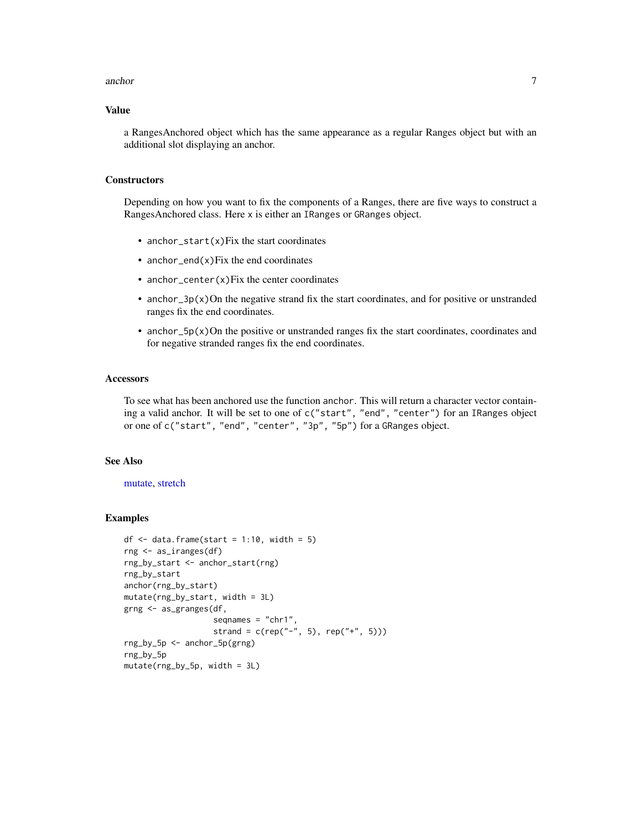#### <span id="page-6-0"></span>anchor 7 and 2008, the contract of the contract of the contract of the contract of the contract of the contract of the contract of the contract of the contract of the contract of the contract of the contract of the contrac

# Value

a RangesAnchored object which has the same appearance as a regular Ranges object but with an additional slot displaying an anchor.

#### **Constructors**

Depending on how you want to fix the components of a Ranges, there are five ways to construct a RangesAnchored class. Here x is either an IRanges or GRanges object.

- anchor\_start(x)Fix the start coordinates
- anchor\_end $(x)$ Fix the end coordinates
- anchor\_center(x)Fix the center coordinates
- anchor\_3p( $x$ )On the negative strand fix the start coordinates, and for positive or unstranded ranges fix the end coordinates.
- anchor\_5p $(x)$ On the positive or unstranded ranges fix the start coordinates, coordinates and for negative stranded ranges fix the end coordinates.

#### **Accessors**

To see what has been anchored use the function anchor. This will return a character vector containing a valid anchor. It will be set to one of c("start", "end", "center") for an IRanges object or one of c("start", "end", "center", "3p", "5p") for a GRanges object.

# See Also

[mutate,](#page-0-0) [stretch](#page-52-1)

```
df \leq - data.frame(start = 1:10, width = 5)
rng <- as_iranges(df)
rng_by_start <- anchor_start(rng)
rng_by_start
anchor(rng_by_start)
mutate(rng_by_start, width = 3L)
grng <- as_granges(df,
                   seqnames = "chr1",
                   strand = c(rep("-", 5), rep("+", 5)))rng_by_5p <- anchor_5p(grng)
rng_by_5p
mutate(rng_by_5p, width = 3L)
```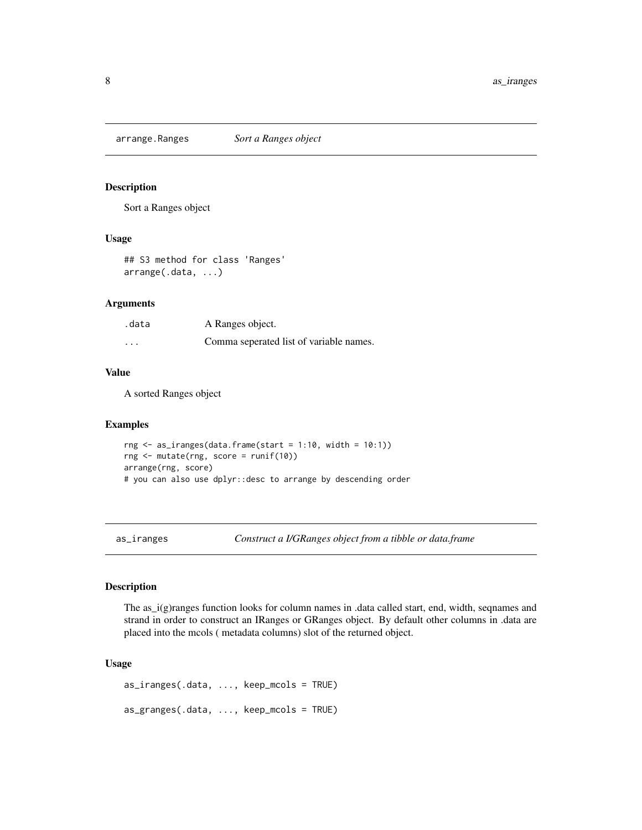<span id="page-7-0"></span>arrange.Ranges *Sort a Ranges object*

#### Description

Sort a Ranges object

#### Usage

## S3 method for class 'Ranges' arrange(.data, ...)

#### Arguments

| .data                   | A Ranges object.                        |
|-------------------------|-----------------------------------------|
| $\cdot$ $\cdot$ $\cdot$ | Comma seperated list of variable names. |

#### Value

A sorted Ranges object

#### Examples

rng  $\le$  as\_iranges(data.frame(start = 1:10, width = 10:1)) rng <- mutate(rng, score = runif(10)) arrange(rng, score) # you can also use dplyr::desc to arrange by descending order

as\_iranges *Construct a I/GRanges object from a tibble or data.frame*

# Description

The as<sub>rie</sub>  $j(g)$  ranges function looks for column names in .data called start, end, width, seqnames and strand in order to construct an IRanges or GRanges object. By default other columns in .data are placed into the mcols ( metadata columns) slot of the returned object.

#### Usage

```
as_iranges(.data, ..., keep_mcols = TRUE)
as_granges(.data, ..., keep_mcols = TRUE)
```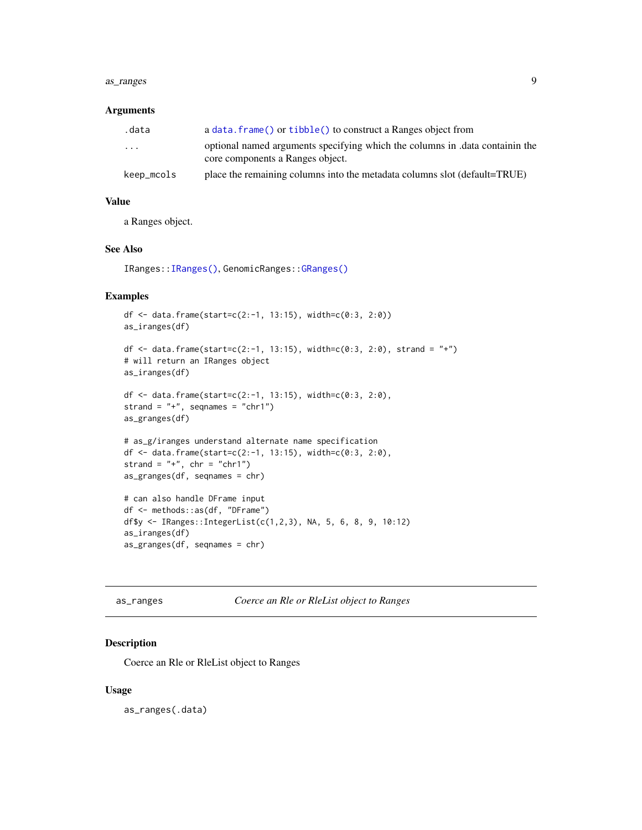#### <span id="page-8-0"></span>as\_ranges 9

#### Arguments

| .data                   | a data. $frame()$ or tibble() to construct a Ranges object from                                                  |
|-------------------------|------------------------------------------------------------------------------------------------------------------|
| $\cdot$ $\cdot$ $\cdot$ | optional named arguments specifying which the columns in .data containin the<br>core components a Ranges object. |
| keep_mcols              | place the remaining columns into the metadata columns slot (default=TRUE)                                        |

# Value

a Ranges object.

#### See Also

IRanges:[:IRanges\(\)](#page-0-0), GenomicRanges:[:GRanges\(\)](#page-0-0)

#### Examples

```
df <- data.frame(start=c(2:-1, 13:15), width=c(0:3, 2:0))
as_iranges(df)
df <- data.frame(start=c(2:-1, 13:15), width=c(0:3, 2:0), strand = "+")
# will return an IRanges object
as_iranges(df)
df <- data.frame(start=c(2:-1, 13:15), width=c(0:3, 2:0),
strand = "+", seqnames = "chr1")
as_granges(df)
# as_g/iranges understand alternate name specification
df <- data.frame(start=c(2:-1, 13:15), width=c(0:3, 2:0),
strand = "+", chr = "chr1")
as_granges(df, seqnames = chr)
# can also handle DFrame input
df <- methods::as(df, "DFrame")
df$y <- IRanges::IntegerList(c(1,2,3), NA, 5, 6, 8, 9, 10:12)
as_iranges(df)
as_granges(df, seqnames = chr)
```
as\_ranges *Coerce an Rle or RleList object to Ranges*

# Description

Coerce an Rle or RleList object to Ranges

#### Usage

as\_ranges(.data)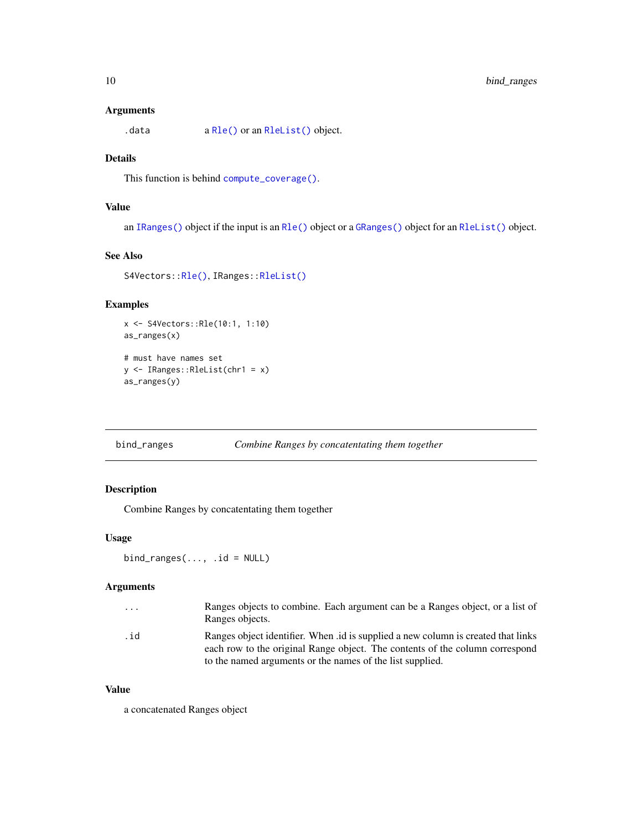# <span id="page-9-0"></span>Arguments

.data a [Rle\(\)](#page-0-0) or an [RleList\(\)](#page-0-0) object.

# Details

This function is behind [compute\\_coverage\(\)](#page-11-1).

# Value

an [IRanges\(\)](#page-0-0) object if the input is an [Rle\(\)](#page-0-0) object or a [GRanges\(\)](#page-0-0) object for an [RleList\(\)](#page-0-0) object.

# See Also

S4Vectors:[:Rle\(\)](#page-0-0), IRanges:[:RleList\(\)](#page-0-0)

# Examples

x <- S4Vectors::Rle(10:1, 1:10) as\_ranges(x)

# must have names set y <- IRanges::RleList(chr1 = x) as\_ranges(y)

```
bind_ranges Combine Ranges by concatentating them together
```
# Description

Combine Ranges by concatentating them together

# Usage

 $bind\_ranges(..., id = NULL)$ 

# Arguments

| .   | Ranges objects to combine. Each argument can be a Ranges object, or a list of<br>Ranges objects.                                                                 |
|-----|------------------------------------------------------------------------------------------------------------------------------------------------------------------|
| .id | Ranges object identifier. When id is supplied a new column is created that links<br>each row to the original Range object. The contents of the column correspond |
|     | to the named arguments or the names of the list supplied.                                                                                                        |

# Value

a concatenated Ranges object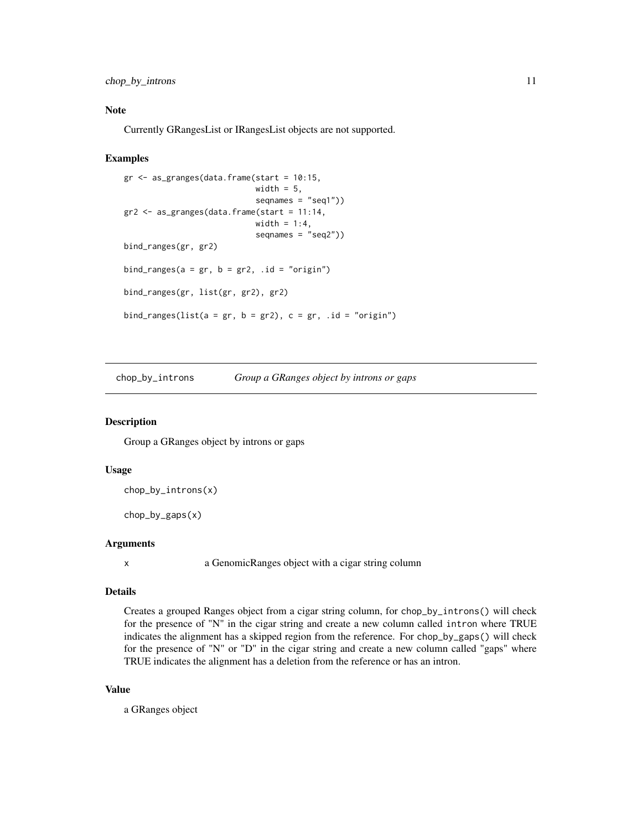<span id="page-10-0"></span>chop\_by\_introns 11

# Note

Currently GRangesList or IRangesList objects are not supported.

#### Examples

```
gr <- as_granges(data.frame(start = 10:15,
                            width = 5,
                            seqnames = "seq1"))
gr2 \leq -as\_granges(data-frame(start = 11:14,width = 1:4,
                            seqnames = "seq2")bind_ranges(gr, gr2)
bind_ranges(a = gr, b = gr2, .id = "origin")
bind_ranges(gr, list(gr, gr2), gr2)
bind_ranges(list(a = gr, b = gr2), c = gr, .id = "origin")
```
chop\_by\_introns *Group a GRanges object by introns or gaps*

#### Description

Group a GRanges object by introns or gaps

# Usage

chop\_by\_introns(x)

chop\_by\_gaps(x)

# Arguments

x a GenomicRanges object with a cigar string column

#### Details

Creates a grouped Ranges object from a cigar string column, for chop\_by\_introns() will check for the presence of "N" in the cigar string and create a new column called intron where TRUE indicates the alignment has a skipped region from the reference. For chop\_by\_gaps() will check for the presence of "N" or "D" in the cigar string and create a new column called "gaps" where TRUE indicates the alignment has a deletion from the reference or has an intron.

# Value

a GRanges object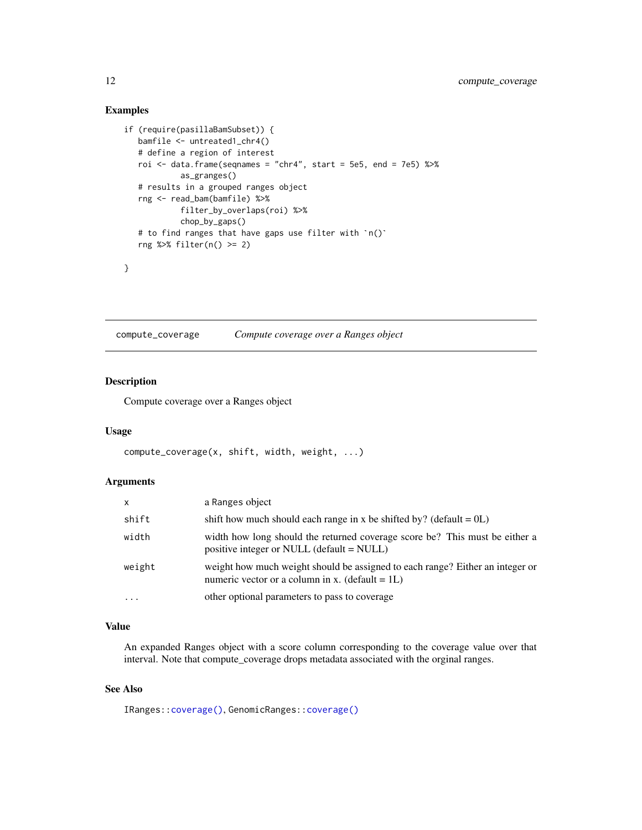# Examples

```
if (require(pasillaBamSubset)) {
  bamfile <- untreated1_chr4()
   # define a region of interest
   roi <- data.frame(seqnames = "chr4", start = 5e5, end = 7e5) %>%
            as_granges()
   # results in a grouped ranges object
   rng <- read_bam(bamfile) %>%
            filter_by_overlaps(roi) %>%
            chop_by_gaps()
   # to find ranges that have gaps use filter with `n()`
   rng %>% filter(n() >= 2)
}
```
<span id="page-11-1"></span>compute\_coverage *Compute coverage over a Ranges object*

# Description

Compute coverage over a Ranges object

#### Usage

```
compute_coverage(x, shift, width, weight, ...)
```
#### Arguments

| X.       | a Ranges object                                                                                                                     |
|----------|-------------------------------------------------------------------------------------------------------------------------------------|
| shift    | shift how much should each range in x be shifted by? (default = $0L$ )                                                              |
| width    | width how long should the returned coverage score be? This must be either a<br>positive integer or NULL (default = NULL)            |
| weight   | weight how much weight should be assigned to each range? Either an integer or<br>numeric vector or a column in x. (default = $1L$ ) |
| $\cdots$ | other optional parameters to pass to coverage                                                                                       |

# Value

An expanded Ranges object with a score column corresponding to the coverage value over that interval. Note that compute\_coverage drops metadata associated with the orginal ranges.

# See Also

IRanges:[:coverage\(\)](#page-0-0), GenomicRanges:[:coverage\(\)](#page-0-0)

<span id="page-11-0"></span>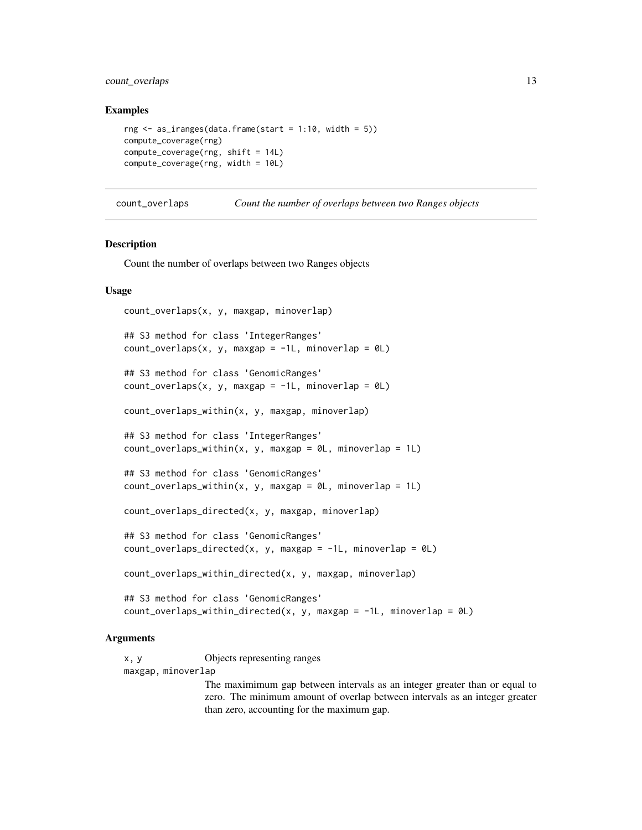# <span id="page-12-0"></span>count\_overlaps 13

#### Examples

```
rng \leq as_iranges(data.frame(start = 1:10, width = 5))
compute_coverage(rng)
compute_coverage(rng, shift = 14L)
compute_coverage(rng, width = 10L)
```
count\_overlaps *Count the number of overlaps between two Ranges objects*

#### **Description**

Count the number of overlaps between two Ranges objects

#### Usage

```
count_overlaps(x, y, maxgap, minoverlap)
## S3 method for class 'IntegerRanges'
count\_overlaps(x, y, maxgap = -1L, minoverlap = 0L)## S3 method for class 'GenomicRanges'
count\_overlaps(x, y, maxgap = -1L, minoverlap = 0L)count_overlaps_within(x, y, maxgap, minoverlap)
## S3 method for class 'IntegerRanges'
count\_overlaps\_within(x, y, maxgap = 0L, minoverlap = 1L)## S3 method for class 'GenomicRanges'
count_overlang_within(x, y, maxgap = 0L, minoverlap = 1L)count_overlaps_directed(x, y, maxgap, minoverlap)
## S3 method for class 'GenomicRanges'
count_overlaps_directed(x, y, maxgap = -1L, minoverlap = 0L)
count_overlaps_within_directed(x, y, maxgap, minoverlap)
## S3 method for class 'GenomicRanges'
count_overlaps_within_directed(x, y, maxgap = -1L, minoverlap = 0L)
```
#### Arguments

x, y Objects representing ranges maxgap, minoverlap

> The maximimum gap between intervals as an integer greater than or equal to zero. The minimum amount of overlap between intervals as an integer greater than zero, accounting for the maximum gap.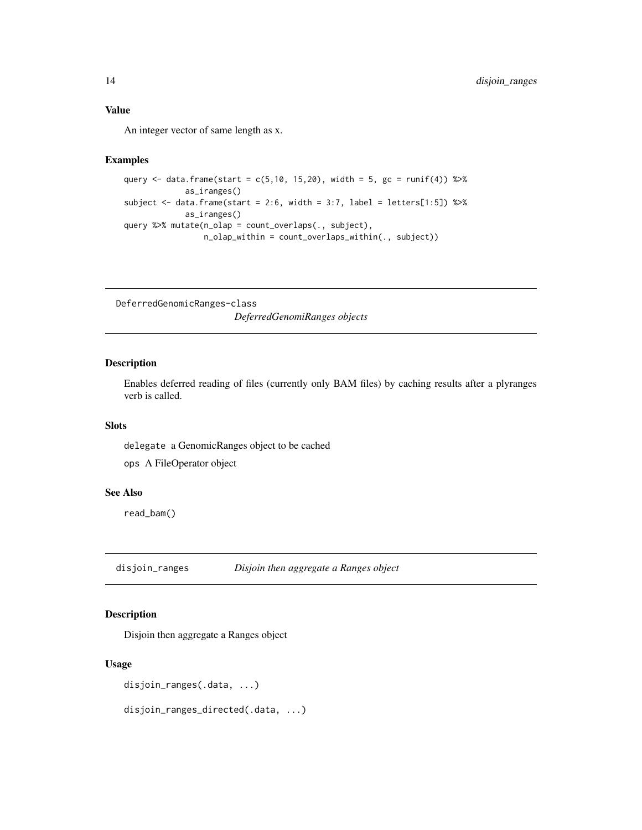# <span id="page-13-0"></span>Value

An integer vector of same length as x.

#### Examples

```
query <- data.frame(start = c(5, 10, 15, 20), width = 5, gc = runif(4)) %>%
             as_iranges()
subject <- data.frame(start = 2:6, width = 3:7, label = letters[1:5]) %\gg%
             as_iranges()
query %>% mutate(n_olap = count_overlaps(., subject),
                 n_olap_within = count_overlaps_within(., subject))
```
DeferredGenomicRanges-class *DeferredGenomiRanges objects*

# Description

Enables deferred reading of files (currently only BAM files) by caching results after a plyranges verb is called.

#### Slots

delegate a GenomicRanges object to be cached

ops A FileOperator object

#### See Also

read\_bam()

disjoin\_ranges *Disjoin then aggregate a Ranges object*

# Description

Disjoin then aggregate a Ranges object

# Usage

```
disjoin_ranges(.data, ...)
```
disjoin\_ranges\_directed(.data, ...)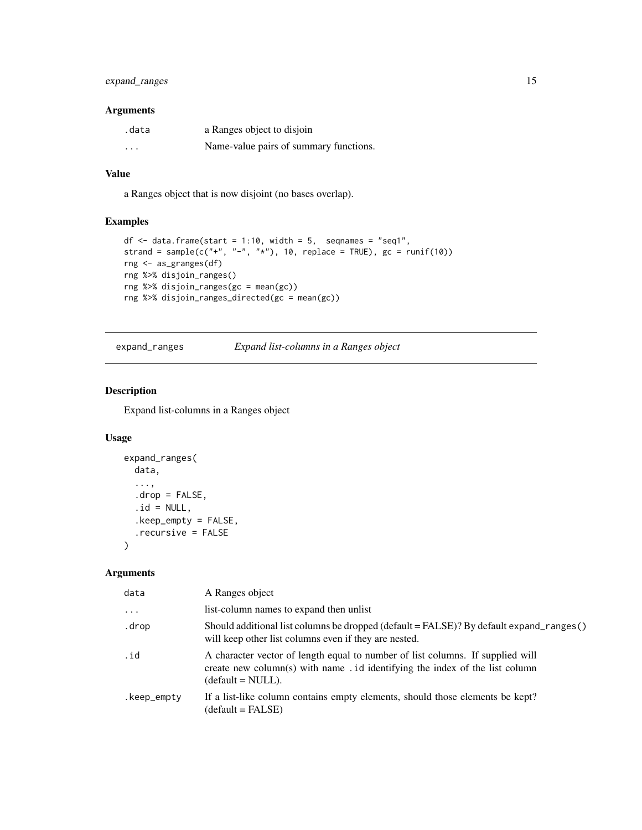# <span id="page-14-0"></span>expand\_ranges 15

# Arguments

| .data    | a Ranges object to disjoin             |
|----------|----------------------------------------|
| $\cdots$ | Name-value pairs of summary functions. |

# Value

a Ranges object that is now disjoint (no bases overlap).

# Examples

```
df \le data.frame(start = 1:10, width = 5, seqnames = "seq1",
strand = sample(c("+", "-", "*"), 10, replace = TRUE), gc = runif(10))
rng <- as_granges(df)
rng %>% disjoin_ranges()
rng %>% disjoin_ranges(gc = mean(gc))
rng %>% disjoin_ranges_directed(gc = mean(gc))
```
expand\_ranges *Expand list-columns in a Ranges object*

#### Description

Expand list-columns in a Ranges object

# Usage

```
expand_ranges(
  data,
  ...,
  drop = FALSE,.id = NULL,.keep_empty = FALSE,
  .recursive = FALSE
\mathcal{L}
```
#### Arguments

| data        | A Ranges object                                                                                                                                                                       |
|-------------|---------------------------------------------------------------------------------------------------------------------------------------------------------------------------------------|
| $\cdots$    | list-column names to expand then unlist                                                                                                                                               |
| .drop       | Should additional list columns be dropped (default = FALSE)? By default expand_ranges()<br>will keep other list columns even if they are nested.                                      |
| .id         | A character vector of length equal to number of list columns. If supplied will<br>create new column(s) with name . id identifying the index of the list column<br>$(detault = NULL).$ |
| .keep_empty | If a list-like column contains empty elements, should those elements be kept?<br>$(detault = FALSE)$                                                                                  |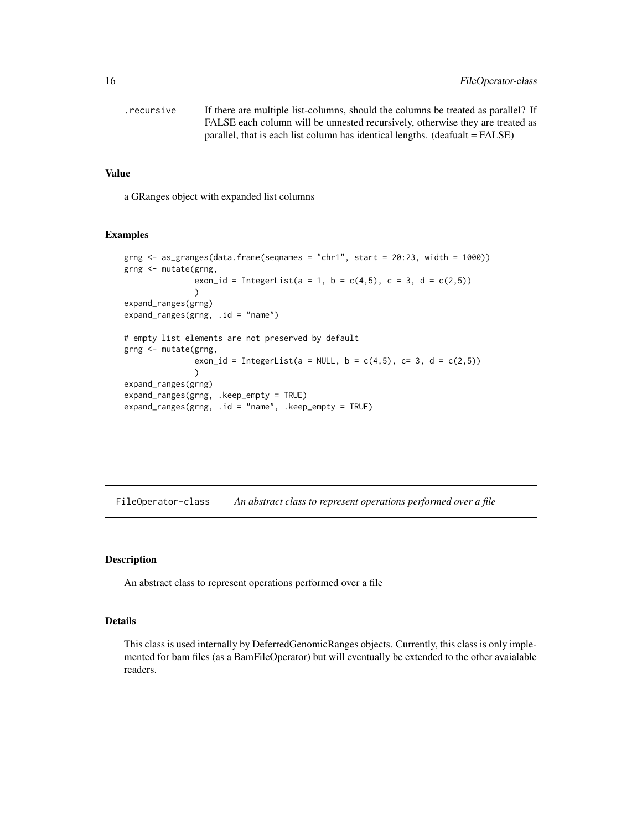<span id="page-15-0"></span>

| .recursive | If there are multiple list-columns, should the columns be treated as parallel? If |
|------------|-----------------------------------------------------------------------------------|
|            | FALSE each column will be unnested recursively, otherwise they are treated as     |
|            | parallel, that is each list column has identical lengths. $(deafualt = FALSE)$    |

#### Value

a GRanges object with expanded list columns

#### Examples

```
grng \leq as_granges(data.frame(seqnames = "chr1", start = 20:23, width = 1000))
grng <- mutate(grng,
               exon_id = IntegerList(a = 1, b = c(4,5), c = 3, d = c(2,5))
               )
expand_ranges(grng)
expand_range(s(rng, id = "name")# empty list elements are not preserved by default
grng <- mutate(grng,
               exon_id = IntegerList(a = NULL, b = c(4,5), c= 3, d = c(2,5))
               )
expand_ranges(grng)
expand_ranges(grng, .keep_empty = TRUE)
expand_ranges(grng, .id = "name", .keep_empty = TRUE)
```
FileOperator-class *An abstract class to represent operations performed over a file*

# Description

An abstract class to represent operations performed over a file

# Details

This class is used internally by DeferredGenomicRanges objects. Currently, this class is only implemented for bam files (as a BamFileOperator) but will eventually be extended to the other avaialable readers.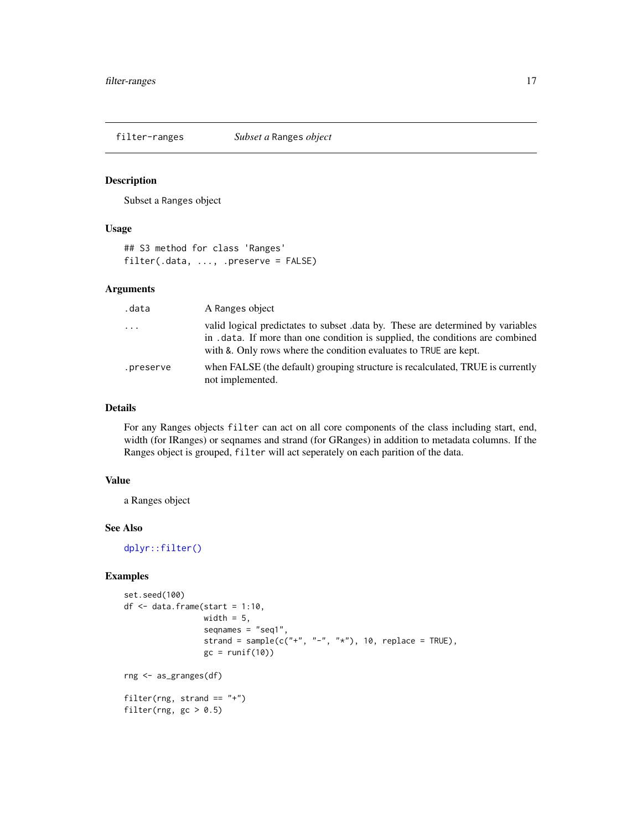<span id="page-16-0"></span>

Subset a Ranges object

#### Usage

## S3 method for class 'Ranges' filter(.data, ..., .preserve = FALSE)

# Arguments

| .data     | A Ranges object                                                                                                                                                                                                                       |
|-----------|---------------------------------------------------------------------------------------------------------------------------------------------------------------------------------------------------------------------------------------|
| $\cdot$   | valid logical predictates to subset .data by. These are determined by variables<br>in . data. If more than one condition is supplied, the conditions are combined<br>with & Only rows where the condition evaluates to TRUE are kept. |
| .preserve | when FALSE (the default) grouping structure is recalculated, TRUE is currently<br>not implemented.                                                                                                                                    |

#### Details

For any Ranges objects filter can act on all core components of the class including start, end, width (for IRanges) or seqnames and strand (for GRanges) in addition to metadata columns. If the Ranges object is grouped, filter will act seperately on each parition of the data.

# Value

a Ranges object

#### See Also

[dplyr::filter\(\)](#page-0-0)

```
set.seed(100)
df \leq data.frame(start = 1:10,
                 width = 5,seqnames = "seq1",
                 strand = sample(c("+", "-", "*"), 10, replace = TRUE),
                 gc = runif(10)rng <- as_granges(df)
filter(rng, strand == "+")
filter(rng, gc > 0.5)
```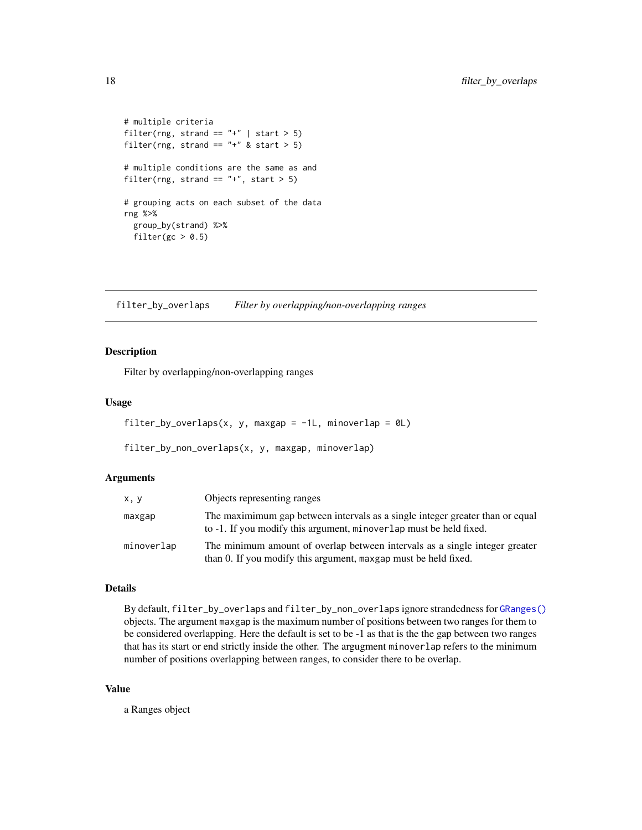```
# multiple criteria
filter(rng, strand == "+' | start > 5)
filter(rng, strand == "+" & start > 5)
# multiple conditions are the same as and
filter(rng, strand == "+', start > 5)
# grouping acts on each subset of the data
rng %>%
 group_by(strand) %>%
 filter(gc > 0.5)
```
filter\_by\_overlaps *Filter by overlapping/non-overlapping ranges*

# Description

Filter by overlapping/non-overlapping ranges

#### Usage

```
filter_by_overlaps(x, y, maxgap = -1L, minoverlap = 0L)
```

```
filter_by_non_overlaps(x, y, maxgap, minoverlap)
```
# Arguments

| x, y       | Objects representing ranges                                                                                                                         |
|------------|-----------------------------------------------------------------------------------------------------------------------------------------------------|
| maxgap     | The maximimum gap between intervals as a single integer greater than or equal<br>to -1. If you modify this argument, minoverlap must be held fixed. |
| minoverlap | The minimum amount of overlap between intervals as a single integer greater<br>than 0. If you modify this argument, maxgap must be held fixed.      |

# Details

By default, filter\_by\_overlaps and filter\_by\_non\_overlaps ignore strandedness for [GRanges\(\)](#page-0-0) objects. The argument maxgap is the maximum number of positions between two ranges for them to be considered overlapping. Here the default is set to be -1 as that is the the gap between two ranges that has its start or end strictly inside the other. The argugment minoverlap refers to the minimum number of positions overlapping between ranges, to consider there to be overlap.

#### Value

a Ranges object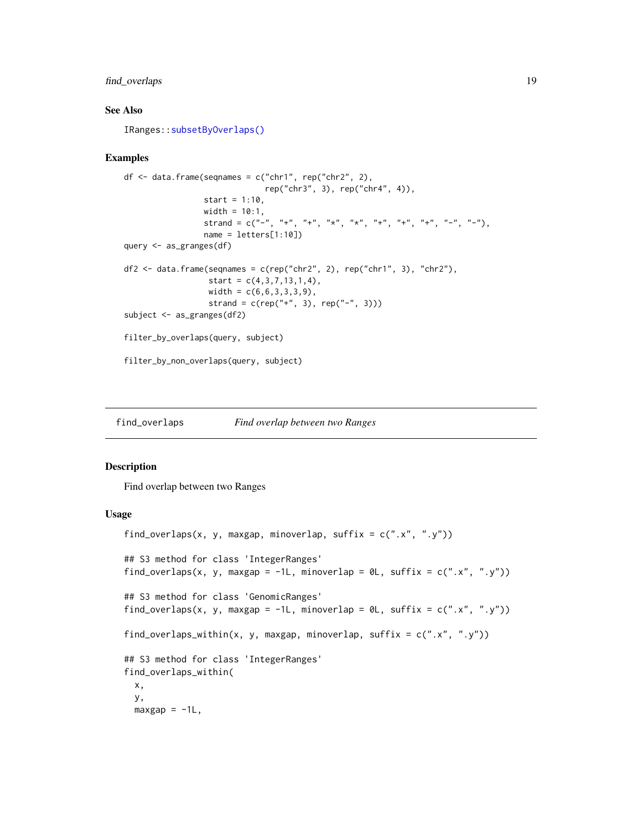# <span id="page-18-0"></span>find\_overlaps 19

# See Also

IRanges:[:subsetByOverlaps\(\)](#page-0-0)

#### Examples

```
df \leq data.frame(seqnames = c("chr1", rep("chr2", 2),
                               rep("chr3", 3), rep("chr4", 4)),
                  start = 1:10,
                  width = 10:1,
                  strand = c("-", "+", "+", "*", "*", "+", "+", "+", "+", "+", "-", "-", "-",name = letters[1:10])
query <- as_granges(df)
df2 <- data.frame(seqnames = c(rep("chr2", 2), rep("chr1", 3), "chr2"),
                   start = c(4, 3, 7, 13, 1, 4),
                   width = c(6, 6, 3, 3, 3, 9),
                   strand = c(rep("+", 3), rep("-", 3)))subject <- as_granges(df2)
filter_by_overlaps(query, subject)
filter_by_non_overlaps(query, subject)
```
<span id="page-18-1"></span>find\_overlaps *Find overlap between two Ranges*

#### Description

Find overlap between two Ranges

#### Usage

```
find_overlaps(x, y, maxgap, minoverlap, suffix = c("x", "y"))
## S3 method for class 'IntegerRanges'
find_overlaps(x, y, maxgap = -1L, minoverlap = \partial L, suffix = c("x", "y"))
## S3 method for class 'GenomicRanges'
find_overlaps(x, y, maxgap = -1L, minoverlap = 0L, suffix = c("x", "y"))
find_overlaps_within(x, y, maxgap, minoverlap, suffix = c("x", "y"))
## S3 method for class 'IntegerRanges'
find_overlaps_within(
 x,
 y,
 maxgap = -1L,
```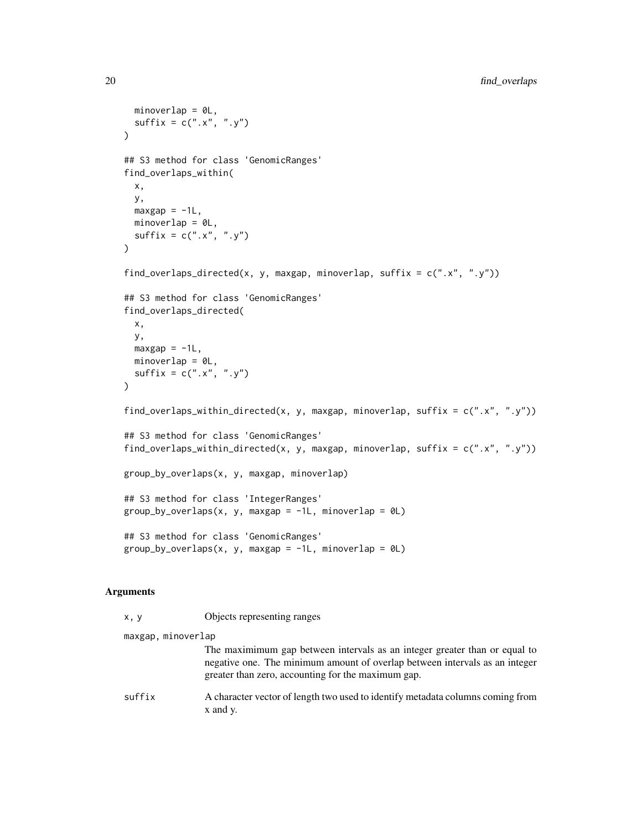```
minoverlap = 0L,
 sufficient = c("x", "y")\lambda## S3 method for class 'GenomicRanges'
find_overlaps_within(
 x,
 y,
 maxgap = -1L,
 minoverlap = 0L,sufficient = c("x", "y")\mathcal{L}find_overlaps_directed(x, y, maxgap, minoverlap, suffix = c("x", "y"))
## S3 method for class 'GenomicRanges'
find_overlaps_directed(
 x,
 y,
 maxgap = -1L,
 minoverlap = 0L,
 sufficient = c("x", "y"))
find_overlaps_within_directed(x, y, maxgap, minoverlap, suffix = c("x", "y"))
## S3 method for class 'GenomicRanges'
find_overlaps_within_directed(x, y, maxgap, minoverlap, suffix = c(".x", ".y"))
group_by_overlaps(x, y, maxgap, minoverlap)
## S3 method for class 'IntegerRanges'
group_by_overlaps(x, y, maxgap = -1L, minoverlap = 0L)
## S3 method for class 'GenomicRanges'
group_by_overlaps(x, y, maxgap = -1L, minoverlap = \emptyset L)
```
#### Arguments

| x, y               | Objects representing ranges                                                                                                                                                                                     |
|--------------------|-----------------------------------------------------------------------------------------------------------------------------------------------------------------------------------------------------------------|
| maxgap, minoverlap |                                                                                                                                                                                                                 |
|                    | The maximimum gap between intervals as an integer greater than or equal to<br>negative one. The minimum amount of overlap between intervals as an integer<br>greater than zero, accounting for the maximum gap. |
| suffix             | A character vector of length two used to identify metadata columns coming from<br>x and y.                                                                                                                      |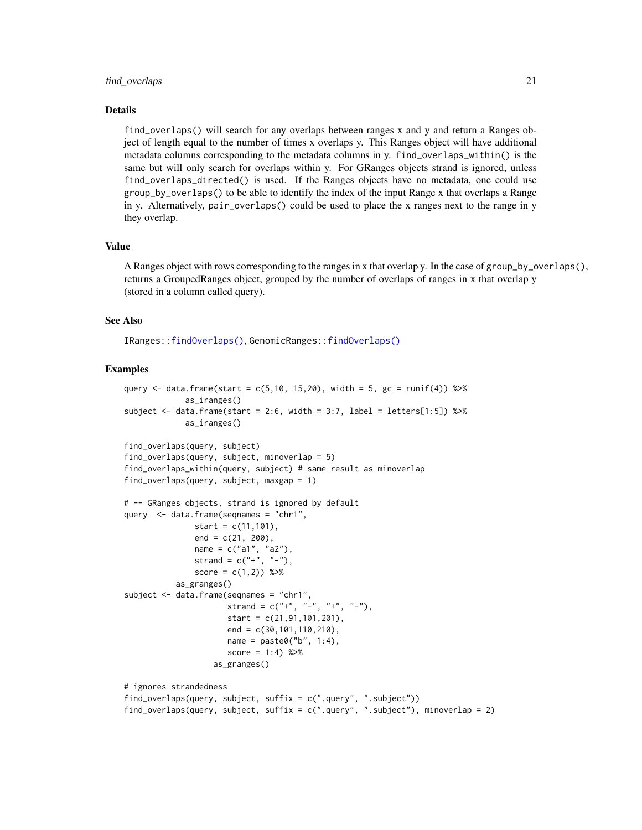#### <span id="page-20-0"></span>find\_overlaps 21

#### Details

find\_overlaps() will search for any overlaps between ranges x and y and return a Ranges object of length equal to the number of times x overlaps y. This Ranges object will have additional metadata columns corresponding to the metadata columns in y. find\_overlaps\_within() is the same but will only search for overlaps within y. For GRanges objects strand is ignored, unless find\_overlaps\_directed() is used. If the Ranges objects have no metadata, one could use group\_by\_overlaps() to be able to identify the index of the input Range x that overlaps a Range in y. Alternatively, pair\_overlaps() could be used to place the x ranges next to the range in y they overlap.

#### Value

A Ranges object with rows corresponding to the ranges in x that overlap y. In the case of group\_by\_overlaps(), returns a GroupedRanges object, grouped by the number of overlaps of ranges in x that overlap y (stored in a column called query).

#### See Also

IRanges:[:findOverlaps\(\)](#page-0-0), GenomicRanges:[:findOverlaps\(\)](#page-0-0)

```
query \le data.frame(start = c(5,10, 15,20), width = 5, gc = runif(4)) %>%
             as_iranges()
subject \le data.frame(start = 2:6, width = 3:7, label = letters[1:5]) %>%
             as_iranges()
find_overlaps(query, subject)
find_overlaps(query, subject, minoverlap = 5)
find_overlaps_within(query, subject) # same result as minoverlap
find_overlaps(query, subject, maxgap = 1)
# -- GRanges objects, strand is ignored by default
query <- data.frame(seqnames = "chr1",
               start = c(11,101),
               end = c(21, 200),
               name = c("a1", "a2"),
               strand = c("+", "-"),score = c(1,2) %>%
           as_granges()
subject <- data.frame(seqnames = "chr1",
                     strand = c("+", "-", "+", "-"),start = c(21, 91, 101, 201),end = c(30, 101, 110, 210),
                      name = paste0("b", 1:4),score = 1:4) %>%
                   as_granges()
# ignores strandedness
find_overlaps(query, subject, suffix = c(".query", ".subject"))
find_overlaps(query, subject, suffix = c(".query", ". subject"), minoverlap = 2)
```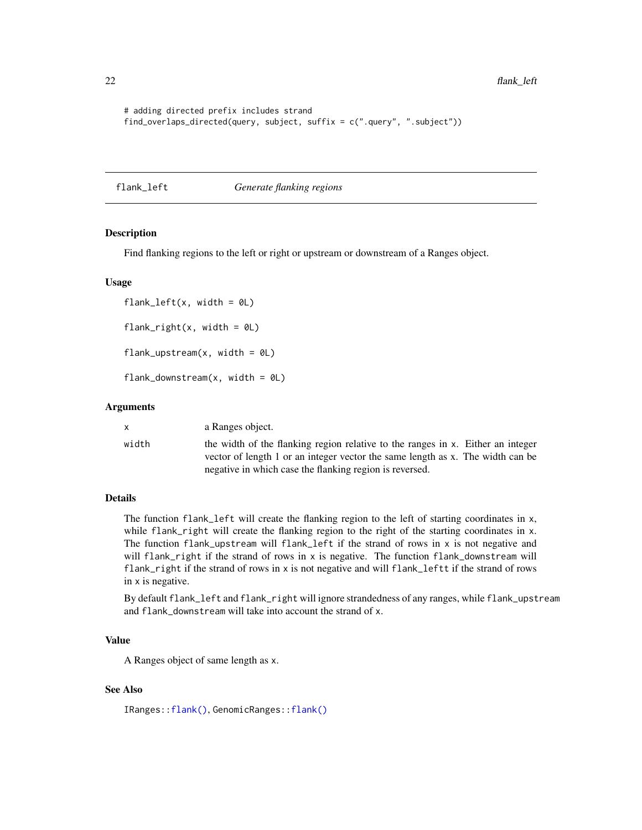<span id="page-21-0"></span>22 flank\_left

```
# adding directed prefix includes strand
find_overlaps_directed(query, subject, suffix = c(".query", ".subject"))
```
# flank\_left *Generate flanking regions*

#### Description

Find flanking regions to the left or right or upstream or downstream of a Ranges object.

#### Usage

 $flank\_left(x, width = 0L)$  $flank\_right(x, width = 0L)$  $flank_upstream(x, width = 0L)$ flank\_downstream $(x, width = 0L)$ 

#### Arguments

|       | a Ranges object.                                                                |  |
|-------|---------------------------------------------------------------------------------|--|
| width | the width of the flanking region relative to the ranges in x. Either an integer |  |
|       | vector of length 1 or an integer vector the same length as x. The width can be  |  |

#### Details

The function flank\_left will create the flanking region to the left of starting coordinates in x, while flank\_right will create the flanking region to the right of the starting coordinates in x. The function flank\_upstream will flank\_left if the strand of rows in x is not negative and will flank\_right if the strand of rows in x is negative. The function flank\_downstream will flank\_right if the strand of rows in x is not negative and will flank\_leftt if the strand of rows in x is negative.

negative in which case the flanking region is reversed.

By default flank\_left and flank\_right will ignore strandedness of any ranges, while flank\_upstream and flank\_downstream will take into account the strand of x.

# Value

A Ranges object of same length as x.

# See Also

IRanges:[:flank\(\)](#page-0-0), GenomicRanges:[:flank\(\)](#page-0-0)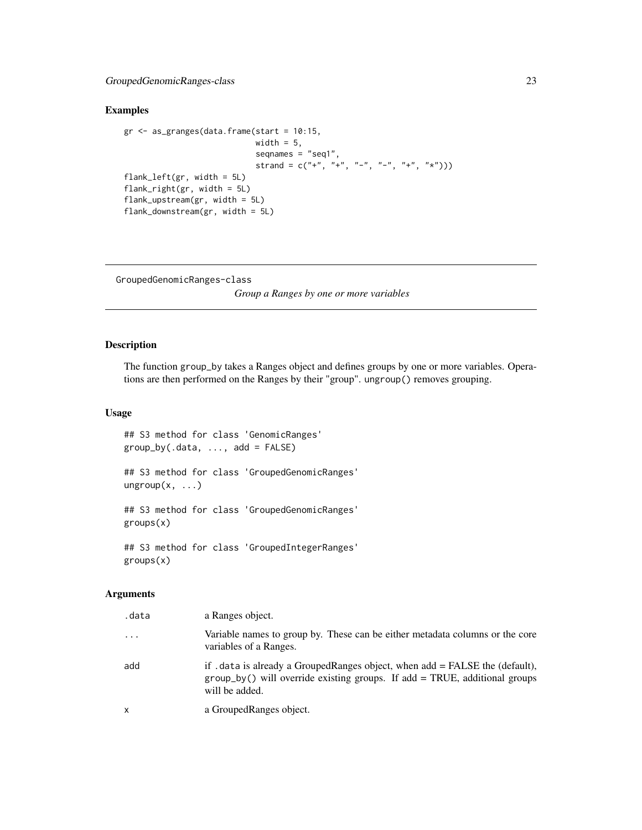# <span id="page-22-0"></span>Examples

```
gr <- as_granges(data.frame(start = 10:15,
                           width = 5,
                            seqnames = "seq1",
                            strand = c("+", "+", "-", "-", "+", "*"\)flank_left(gr, width = 5L)
flank_right(gr, width = 5L)
flank_upstream(gr, width = 5L)
flank_downstream(gr, width = 5L)
```
GroupedGenomicRanges-class

*Group a Ranges by one or more variables*

# Description

The function group\_by takes a Ranges object and defines groups by one or more variables. Operations are then performed on the Ranges by their "group". ungroup() removes grouping.

#### Usage

## S3 method for class 'GenomicRanges'  $group_by(.data, ..., add = FALSE)$ 

## S3 method for class 'GroupedGenomicRanges'  $ungroup(x, \ldots)$ 

## S3 method for class 'GroupedGenomicRanges' groups(x)

## S3 method for class 'GroupedIntegerRanges' groups(x)

# Arguments

| .data    | a Ranges object.                                                                                                                                                               |
|----------|--------------------------------------------------------------------------------------------------------------------------------------------------------------------------------|
| $\ddots$ | Variable names to group by. These can be either metadata columns or the core<br>variables of a Ranges.                                                                         |
| add      | if . data is already a GroupedRanges object, when add = FALSE the (default),<br>$group_by()$ will override existing groups. If add = TRUE, additional groups<br>will be added. |
| x        | a GroupedRanges object.                                                                                                                                                        |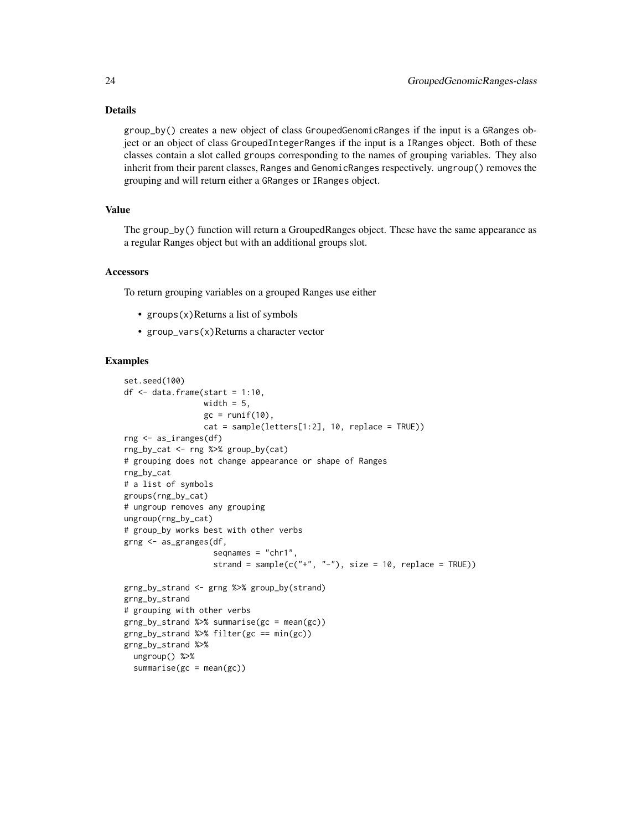# Details

group\_by() creates a new object of class GroupedGenomicRanges if the input is a GRanges object or an object of class GroupedIntegerRanges if the input is a IRanges object. Both of these classes contain a slot called groups corresponding to the names of grouping variables. They also inherit from their parent classes, Ranges and GenomicRanges respectively. ungroup() removes the grouping and will return either a GRanges or IRanges object.

# Value

The group\_by() function will return a GroupedRanges object. These have the same appearance as a regular Ranges object but with an additional groups slot.

#### **Accessors**

To return grouping variables on a grouped Ranges use either

- groups $(x)$ Returns a list of symbols
- group\_vars(x)Returns a character vector

```
set.seed(100)
df \leq data.frame(start = 1:10,
                 width = 5,
                 gc = runif(10),cat = sample(letters[1:2], 10, replace = TRUE))
rng <- as_iranges(df)
rng_by_cat <- rng %>% group_by(cat)
# grouping does not change appearance or shape of Ranges
rng_by_cat
# a list of symbols
groups(rng_by_cat)
# ungroup removes any grouping
ungroup(rng_by_cat)
# group_by works best with other verbs
grng <- as_granges(df,
                   seqnames = "chr1",
                   strand = sample(c("+", "-"), size = 10, replace = TRUE))
grng_by_strand <- grng %>% group_by(strand)
grng_by_strand
# grouping with other verbs
grng_by_strand %>% summarise(gc = mean(gc))
grng_by_strand %>% filter(gc == min(gc))
grng_by_strand %>%
  ungroup() %>%
  summarise(gc = mean(gc))
```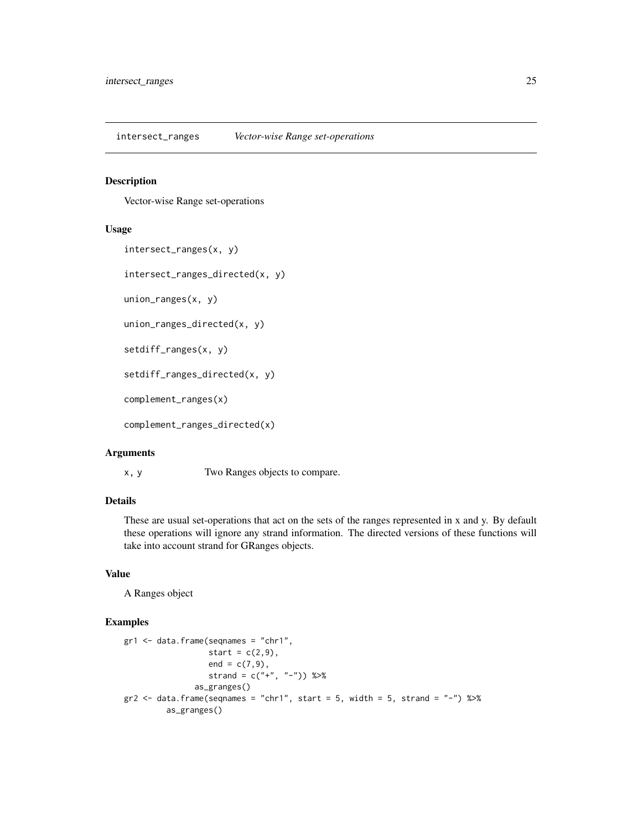<span id="page-24-0"></span>intersect\_ranges *Vector-wise Range set-operations*

#### Description

Vector-wise Range set-operations

#### Usage

```
intersect_ranges(x, y)
```

```
intersect_ranges_directed(x, y)
```
union\_ranges(x, y)

union\_ranges\_directed(x, y)

setdiff\_ranges(x, y)

setdiff\_ranges\_directed(x, y)

complement\_ranges(x)

complement\_ranges\_directed(x)

#### Arguments

x, y Two Ranges objects to compare.

# Details

These are usual set-operations that act on the sets of the ranges represented in x and y. By default these operations will ignore any strand information. The directed versions of these functions will take into account strand for GRanges objects.

# Value

A Ranges object

```
gr1 < - data.frame(seqnames = "chr1",
                  start = c(2,9),
                  end = c(7, 9),
                  strand = c("+", "-") %>%
               as_granges()
gr2 <- data.frame(seqnames = "chr1", start = 5, width = 5, strand = "-") %>%
        as_granges()
```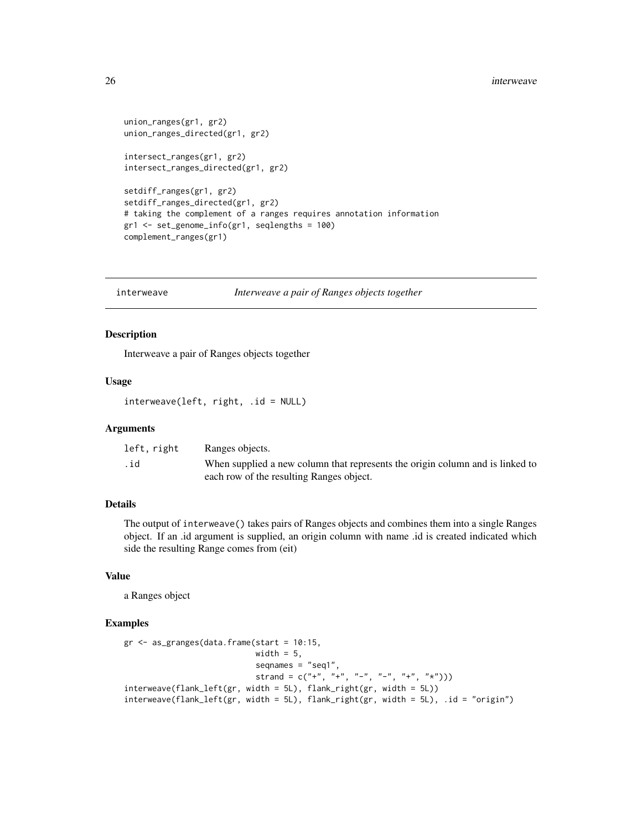```
union_ranges(gr1, gr2)
union_ranges_directed(gr1, gr2)
intersect_ranges(gr1, gr2)
intersect_ranges_directed(gr1, gr2)
setdiff_ranges(gr1, gr2)
```

```
setdiff_ranges_directed(gr1, gr2)
# taking the complement of a ranges requires annotation information
gr1 <- set_genome_info(gr1, seqlengths = 100)
complement_ranges(gr1)
```
interweave *Interweave a pair of Ranges objects together*

#### Description

Interweave a pair of Ranges objects together

#### Usage

interweave(left, right, .id = NULL)

#### Arguments

| left, right | Ranges objects.                                                               |
|-------------|-------------------------------------------------------------------------------|
| .id         | When supplied a new column that represents the origin column and is linked to |
|             | each row of the resulting Ranges object.                                      |

# Details

The output of interweave() takes pairs of Ranges objects and combines them into a single Ranges object. If an .id argument is supplied, an origin column with name .id is created indicated which side the resulting Range comes from (eit)

# Value

a Ranges object

```
gr <- as_granges(data.frame(start = 10:15,
                           width = 5,
                           seqnames = "seq1",
                           strand = c("+", "+", "-", "-", "+", "*")interweave(flank_left(gr, width = 5L), flank_right(gr, width = 5L))
interweave(flank_left(gr, width = 5L), flank_right(gr, width = 5L), .id = "origin")
```
<span id="page-25-0"></span>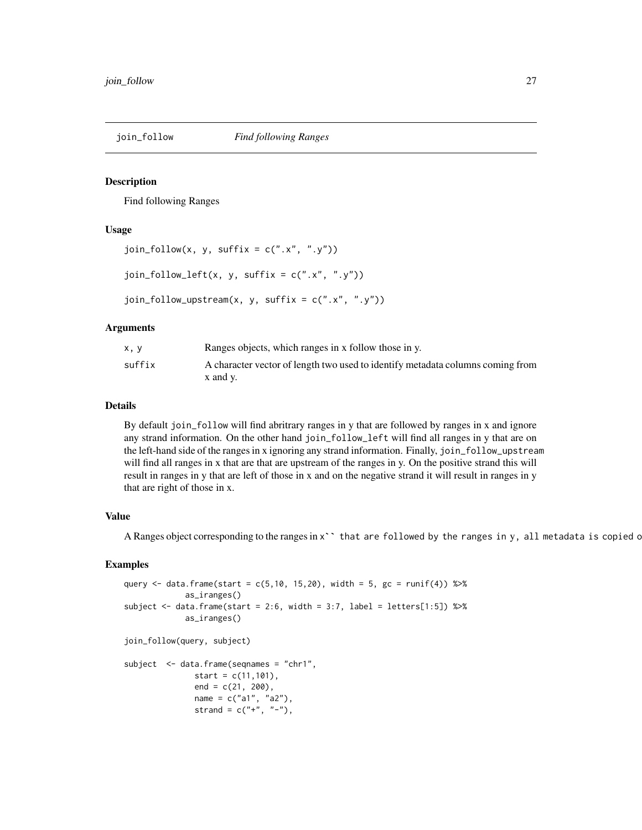<span id="page-26-0"></span>

Find following Ranges

# Usage

```
join_fallow(x, y, suffix = c("x", "y")join_fallow\_left(x, y, suffix = c("x", "y"))join_follow\_upstream(x, y, suffix = c("x", "y"))
```
# Arguments

| x, y   | Ranges objects, which ranges in x follow those in y.                                       |
|--------|--------------------------------------------------------------------------------------------|
| suffix | A character vector of length two used to identify metadata columns coming from<br>x and v. |

# Details

By default join\_follow will find abritrary ranges in y that are followed by ranges in x and ignore any strand information. On the other hand join\_follow\_left will find all ranges in y that are on the left-hand side of the ranges in x ignoring any strand information. Finally, join\_follow\_upstream will find all ranges in x that are that are upstream of the ranges in y. On the positive strand this will result in ranges in y that are left of those in x and on the negative strand it will result in ranges in y that are right of those in x.

# Value

A Ranges object corresponding to the ranges in x`` that are followed by the ranges in y, all metadata is copied c

```
query <- data.frame(start = c(5, 10, 15, 20), width = 5, gc = runif(4)) %>%
             as_iranges()
subject <- data.frame(start = 2:6, width = 3:7, label = letters[1:5]) %\gg%
             as_iranges()
join_follow(query, subject)
subject <- data.frame(seqnames = "chr1",
               start = c(11, 101),
               end = c(21, 200),
               name = c("a1", "a2"),
               strand = c("+", "-"),
```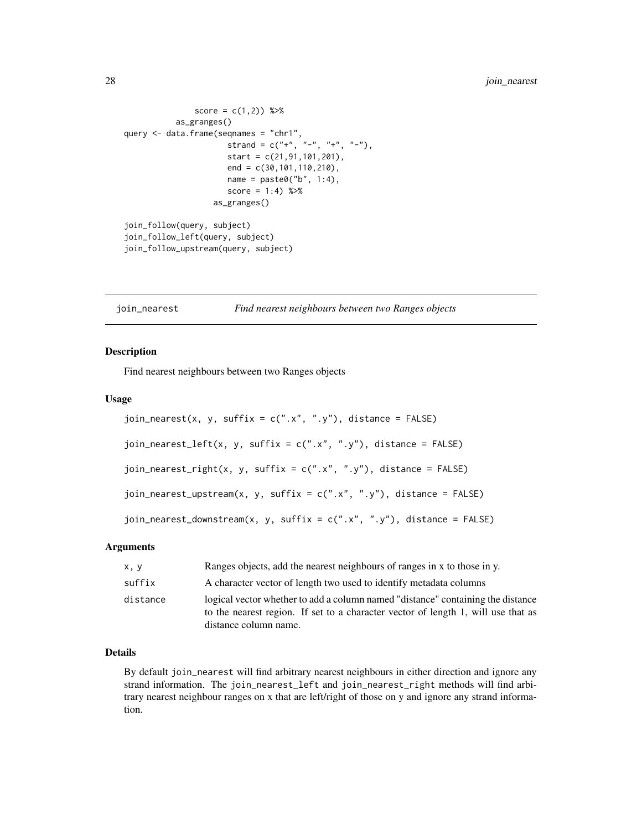```
score = c(1, 2) %>%
           as_granges()
query <- data.frame(seqnames = "chr1",
                      strand = c("+", "-", "+", "-"),start = c(21, 91, 101, 201),end = c(30,101,110,210),
                      name = paste0("b", 1:4),score = 1:4) %>%
                   as_granges()
join_follow(query, subject)
join_follow_left(query, subject)
join_follow_upstream(query, subject)
```
<span id="page-27-1"></span>join\_nearest *Find nearest neighbours between two Ranges objects*

#### Description

Find nearest neighbours between two Ranges objects

#### Usage

```
join_nearest(x, y, suffix = c("x", "y"), distance = FALSE)
join_nearest_left(x, y, suffix = c("x", "y"), distance = FALSE)
join_nearest_right(x, y, suffix = c("x", "y"), distance = FALSE)
join_nearest_upstream(x, y, suffix = c("x", "y"), distance = FALSE)
join_nearest_downstream(x, y, suffix = c(".x", ".y"), distance = FALSE)
```
#### Arguments

| x, y     | Ranges objects, add the nearest neighbours of ranges in x to those in y.                                                                                                                      |
|----------|-----------------------------------------------------------------------------------------------------------------------------------------------------------------------------------------------|
| suffix   | A character vector of length two used to identify metadata columns                                                                                                                            |
| distance | logical vector whether to add a column named "distance" containing the distance<br>to the nearest region. If set to a character vector of length 1, will use that as<br>distance column name. |

# Details

By default join\_nearest will find arbitrary nearest neighbours in either direction and ignore any strand information. The join\_nearest\_left and join\_nearest\_right methods will find arbitrary nearest neighbour ranges on x that are left/right of those on y and ignore any strand information.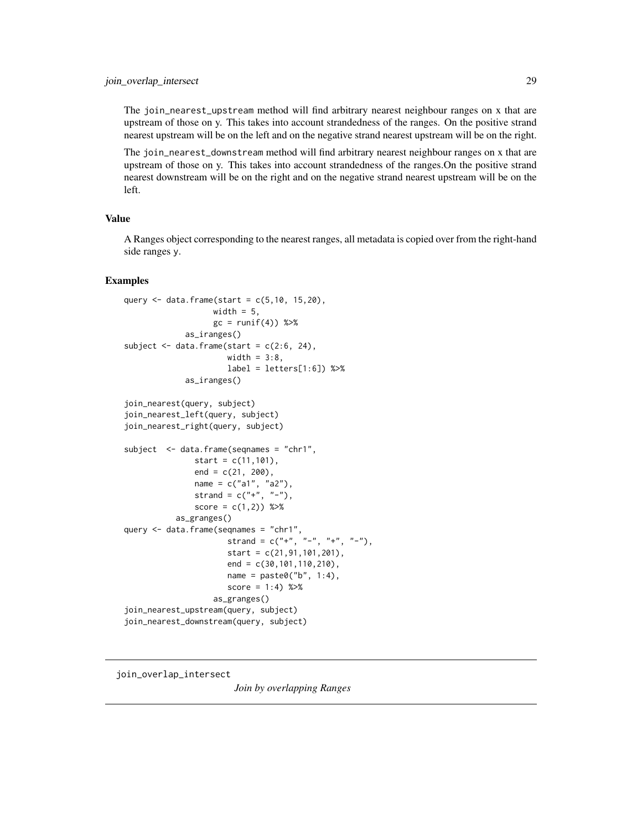<span id="page-28-0"></span>The join\_nearest\_upstream method will find arbitrary nearest neighbour ranges on x that are upstream of those on y. This takes into account strandedness of the ranges. On the positive strand nearest upstream will be on the left and on the negative strand nearest upstream will be on the right.

The join\_nearest\_downstream method will find arbitrary nearest neighbour ranges on x that are upstream of those on y. This takes into account strandedness of the ranges.On the positive strand nearest downstream will be on the right and on the negative strand nearest upstream will be on the left.

# Value

A Ranges object corresponding to the nearest ranges, all metadata is copied over from the right-hand side ranges y.

#### Examples

```
query \leq data.frame(start = c(5, 10, 15, 20),
                   width = 5,
                   gc = runif(4)) %>%
             as_iranges()
subject \leq data.frame(start = c(2:6, 24),
                     width = 3:8,
                      label = letters[1:6]) %>%
             as_iranges()
join_nearest(query, subject)
join_nearest_left(query, subject)
join_nearest_right(query, subject)
subject <- data.frame(seqnames = "chr1",
               start = c(11, 101),
               end = c(21, 200),
               name = c("a1", "a2"),
               strand = c("+", "-");score = c(1,2) %>%
           as_granges()
query <- data.frame(seqnames = "chr1",
                      strand = c("+", "-", "+", "-"),start = c(21,91,101,201),
                      end = c(30,101,110,210),
                      name = paste0("b", 1:4),
                      score = 1:4) %>%
                   as_granges()
join_nearest_upstream(query, subject)
join_nearest_downstream(query, subject)
```
<span id="page-28-2"></span><span id="page-28-1"></span>join\_overlap\_intersect

*Join by overlapping Ranges*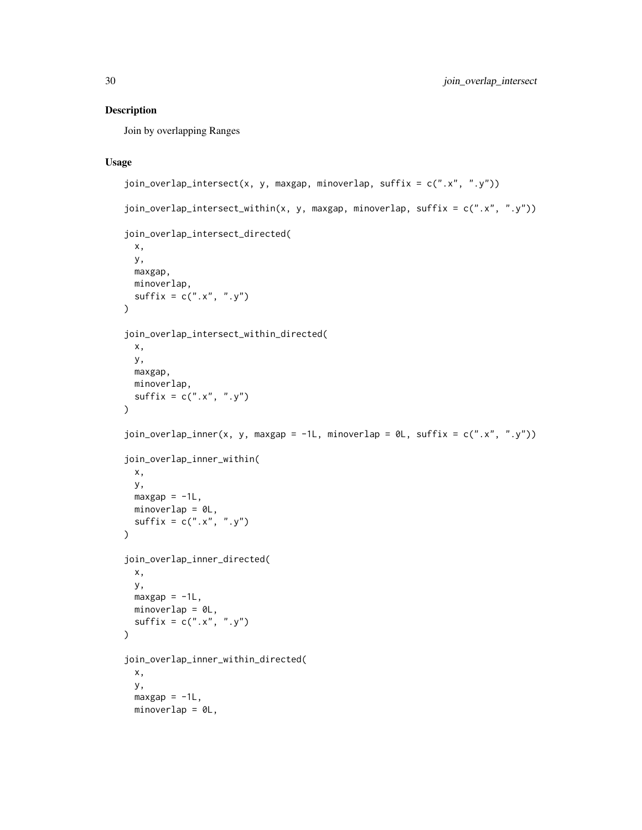Join by overlapping Ranges

# Usage

```
join_overlap_intersect(x, y, maxgap, minoverlap, suffix = c(".x", ".y"))
join_overlap_intersect_within(x, y, maxgap, minoverlap, suffix = c("x", "y"))
join_overlap_intersect_directed(
 x,
 y,
 maxgap,
 minoverlap,
 sufficient = c("x", "y")\mathcal{L}join_overlap_intersect_within_directed(
 x,
 y,
 maxgap,
 minoverlap,
 sufficientx = c("x", "y"))
join_overlap_inner(x, y, maxgap = -1L, minoverlap = 0L, suffix = c("x", "y"))
join_overlap_inner_within(
 x,
 y,
 maxgap = -1L,
 minoverlap = 0L,
 sufficient = c("x", "y")\lambdajoin_overlap_inner_directed(
 x,
 y,
 maxgap = -1L,
 minoverlap = 0L,
 \text{suffix} = c("x", "y")\lambdajoin_overlap_inner_within_directed(
 x,
 y,
 maxgap = -1L,
 minoverlap = 0L,
```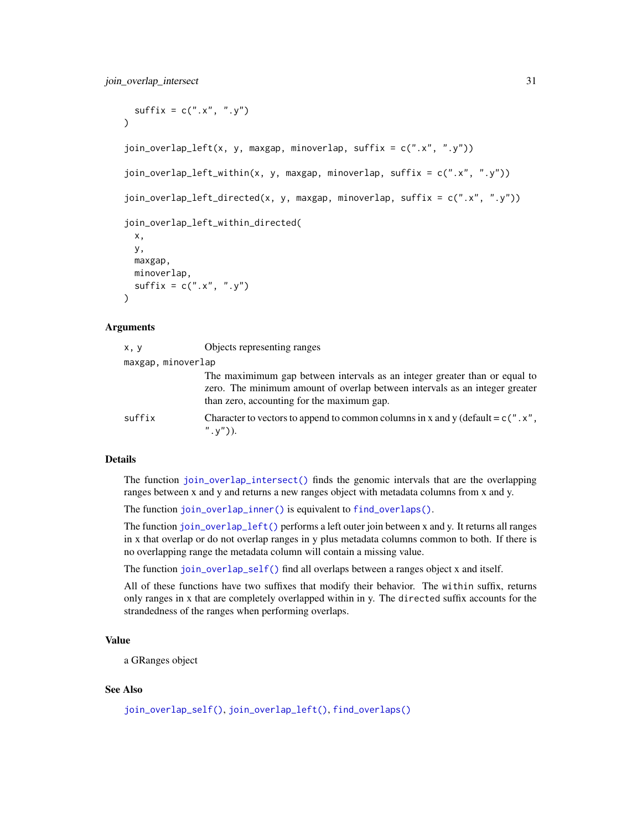```
sufficient = c("x", "y")\lambdajoin_overlap_left(x, y, maxgap, minoverlap, suffix = c(".x", ".y"))
join_overlap_left_within(x, y, maxgap, minoverlap, suffix = c(".x", ".y"))
join_overlap_left_directed(x, y, maxgap, minoverlap, suffix = c(".x", ".y"))
join_overlap_left_within_directed(
 x,
 y,
 maxgap,
 minoverlap,
  sufficient = c("x", "y"))
```
#### Arguments

| x, y               | Objects representing ranges                                                                                                                                                                             |
|--------------------|---------------------------------------------------------------------------------------------------------------------------------------------------------------------------------------------------------|
| maxgap, minoverlap |                                                                                                                                                                                                         |
|                    | The maximimum gap between intervals as an integer greater than or equal to<br>zero. The minimum amount of overlap between intervals as an integer greater<br>than zero, accounting for the maximum gap. |
| suffix             | Character to vectors to append to common columns in x and y (default = $c''$ . x",<br>$", v")$ ).                                                                                                       |

#### Details

The function [join\\_overlap\\_intersect\(\)](#page-28-1) finds the genomic intervals that are the overlapping ranges between x and y and returns a new ranges object with metadata columns from x and y.

The function [join\\_overlap\\_inner\(\)](#page-28-2) is equivalent to [find\\_overlaps\(\)](#page-18-1).

The function [join\\_overlap\\_left\(\)](#page-28-2) performs a left outer join between x and y. It returns all ranges in x that overlap or do not overlap ranges in y plus metadata columns common to both. If there is no overlapping range the metadata column will contain a missing value.

The function [join\\_overlap\\_self\(\)](#page-31-1) find all overlaps between a ranges object x and itself.

All of these functions have two suffixes that modify their behavior. The within suffix, returns only ranges in x that are completely overlapped within in y. The directed suffix accounts for the strandedness of the ranges when performing overlaps.

# Value

a GRanges object

# See Also

[join\\_overlap\\_self\(\)](#page-31-1), [join\\_overlap\\_left\(\)](#page-28-2), [find\\_overlaps\(\)](#page-18-1)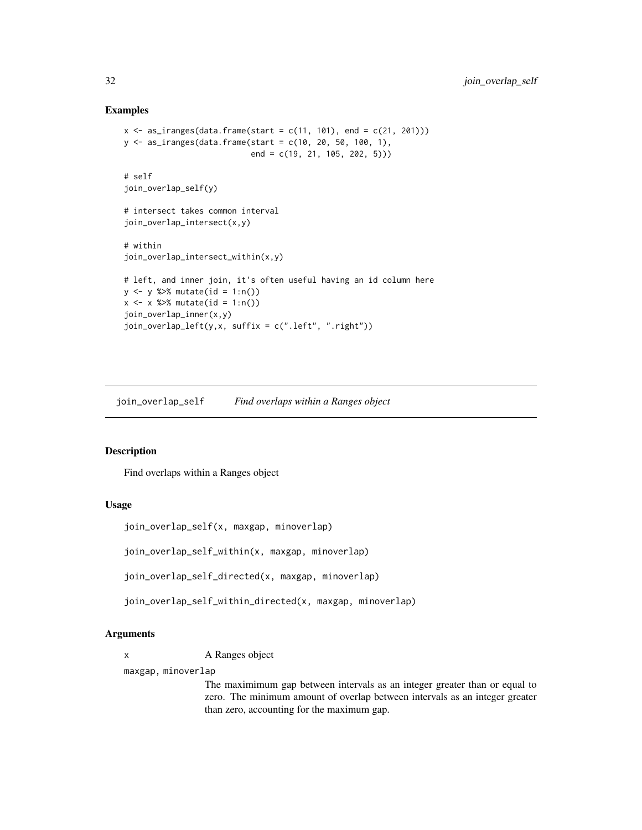#### Examples

```
x <- as_iranges(data.frame(start = c(11, 101), end = c(21, 201)))
y <- as_iranges(data.frame(start = c(10, 20, 50, 100, 1),
                           end = c(19, 21, 105, 202, 5))# self
join_overlap_self(y)
# intersect takes common interval
join_overlap_intersect(x,y)
# within
join_overlap_intersect_within(x,y)
# left, and inner join, it's often useful having an id column here
y <- y %>% mutate(id = 1:n())
x \le -x %>% mutate(id = 1:n())
join_overlap_inner(x,y)
join\_overlap\_left(y, x, suffix = c(".left", ".right"))
```
<span id="page-31-1"></span>join\_overlap\_self *Find overlaps within a Ranges object*

# Description

Find overlaps within a Ranges object

#### Usage

```
join_overlap_self(x, maxgap, minoverlap)
```
join\_overlap\_self\_within(x, maxgap, minoverlap)

join\_overlap\_self\_directed(x, maxgap, minoverlap)

join\_overlap\_self\_within\_directed(x, maxgap, minoverlap)

# Arguments

x A Ranges object

maxgap, minoverlap

The maximimum gap between intervals as an integer greater than or equal to zero. The minimum amount of overlap between intervals as an integer greater than zero, accounting for the maximum gap.

<span id="page-31-0"></span>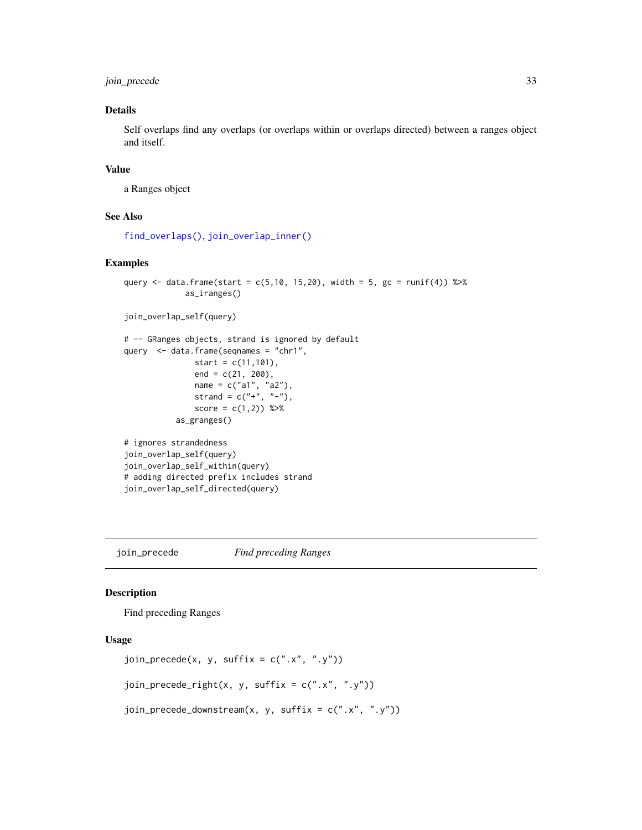<span id="page-32-0"></span>join\_precede 33

# Details

Self overlaps find any overlaps (or overlaps within or overlaps directed) between a ranges object and itself.

# Value

a Ranges object

# See Also

[find\\_overlaps\(\)](#page-18-1), [join\\_overlap\\_inner\(\)](#page-28-2)

#### Examples

```
query <- data.frame(start = c(5, 10, 15, 20), width = 5, gc = runif(4)) %>%
             as_iranges()
join_overlap_self(query)
# -- GRanges objects, strand is ignored by default
query <- data.frame(seqnames = "chr1",
               start = c(11,101),
               end = c(21, 200),
               name = c("a1", "a2"),
               strand = c("+", "-"),
               score = c(1,2)) %>%
           as_granges()
# ignores strandedness
join_overlap_self(query)
join_overlap_self_within(query)
# adding directed prefix includes strand
join_overlap_self_directed(query)
```
join\_precede *Find preceding Ranges*

# Description

Find preceding Ranges

# Usage

```
join\_precede(x, y, suffix = c("x", "y")join_precede_right(x, y, suffix = c("x", "y"))
join_precede_downstream(x, y, suffix = c("x", "y"))
```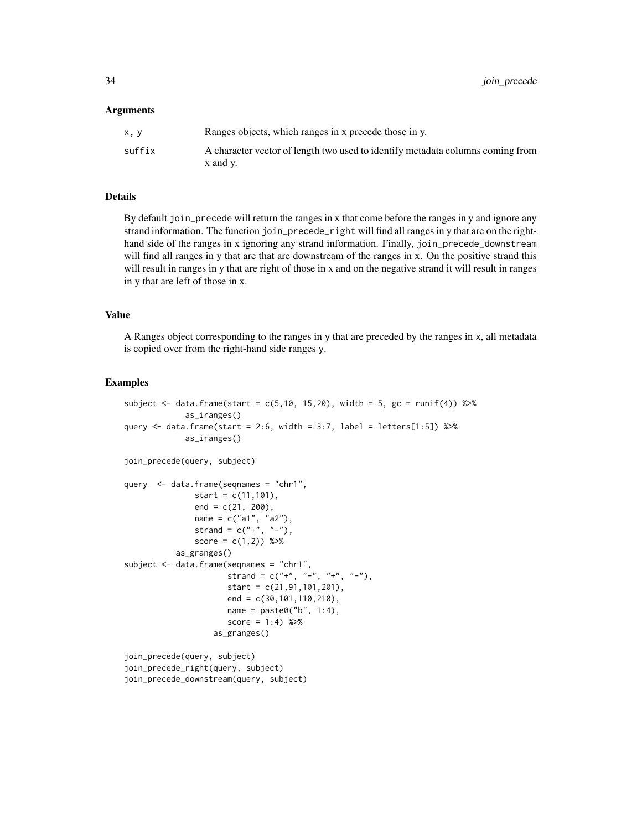#### Arguments

| x.v    | Ranges objects, which ranges in x precede those in y.                          |
|--------|--------------------------------------------------------------------------------|
| suffix | A character vector of length two used to identify metadata columns coming from |
|        | x and y.                                                                       |

# Details

By default join\_precede will return the ranges in x that come before the ranges in y and ignore any strand information. The function join\_precede\_right will find all ranges in y that are on the righthand side of the ranges in x ignoring any strand information. Finally, join\_precede\_downstream will find all ranges in y that are that are downstream of the ranges in x. On the positive strand this will result in ranges in y that are right of those in x and on the negative strand it will result in ranges in y that are left of those in x.

#### Value

A Ranges object corresponding to the ranges in y that are preceded by the ranges in x, all metadata is copied over from the right-hand side ranges y.

#### Examples

```
subject \leq data.frame(start = c(5,10, 15,20), width = 5, gc = runif(4)) %>%
             as_iranges()
query \le data.frame(start = 2:6, width = 3:7, label = letters[1:5]) %>%
             as_iranges()
join_precede(query, subject)
query <- data.frame(seqnames = "chr1",
              start = c(11,101),
               end = c(21, 200),
               name = c("a1", "a2"),
               strand = c("'' +", " -"),
               score = c(1,2) %>%
           as_granges()
subject <- data.frame(seqnames = "chr1",
                      strand = c("+", "-", "+", "-"),
                      start = c(21, 91, 101, 201),end = c(30,101,110,210),
                      name = paste0("b", 1:4),score = 1:4) %>%
                   as_granges()
join_precede(query, subject)
join_precede_right(query, subject)
```
join\_precede\_downstream(query, subject)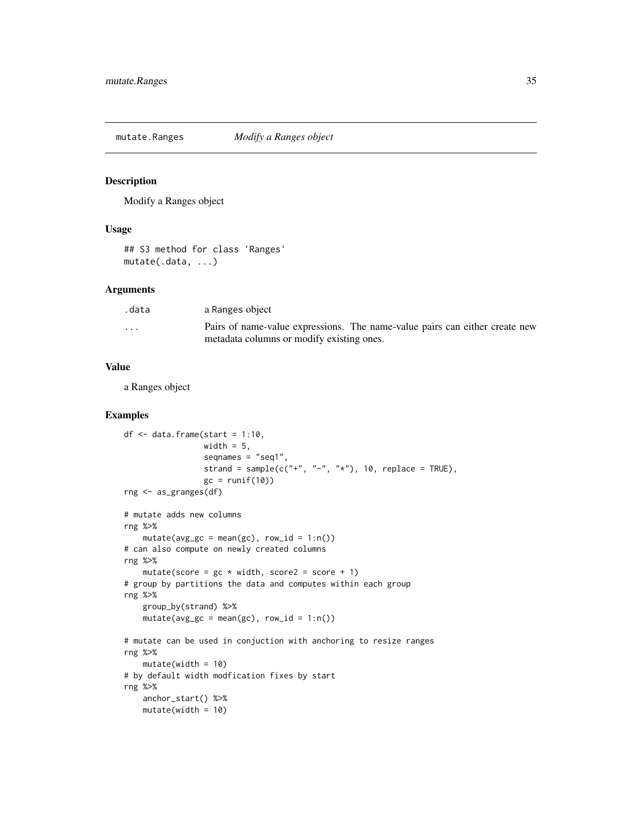<span id="page-34-0"></span>

Modify a Ranges object

#### Usage

```
## S3 method for class 'Ranges'
mutate(.data, ...)
```
#### Arguments

| .data   | a Ranges object                                                             |
|---------|-----------------------------------------------------------------------------|
| $\cdot$ | Pairs of name-value expressions. The name-value pairs can either create new |
|         | metadata columns or modify existing ones.                                   |

#### Value

a Ranges object

```
df \leq data.frame(start = 1:10,
                 width = 5,
                 seqnames = "seq1",
                 strand = sample(c("+", "-", "*"), 10, replace = TRUE),
                 gc = runif(10)rng <- as_granges(df)
# mutate adds new columns
rng %>%
    mutate(avg_gc = mean(gc), row_id = 1:n())# can also compute on newly created columns
rng %>%
   mutate(score = gc * width, score2 = score + 1)# group by partitions the data and computes within each group
rng %>%
    group_by(strand) %>%
    mutate(avg_gc = mean(gc), row_id = 1:n())# mutate can be used in conjuction with anchoring to resize ranges
rng %>%
   mutate(width = 10)# by default width modfication fixes by start
rng %>%
   anchor_start() %>%
   mutate(width = 10)
```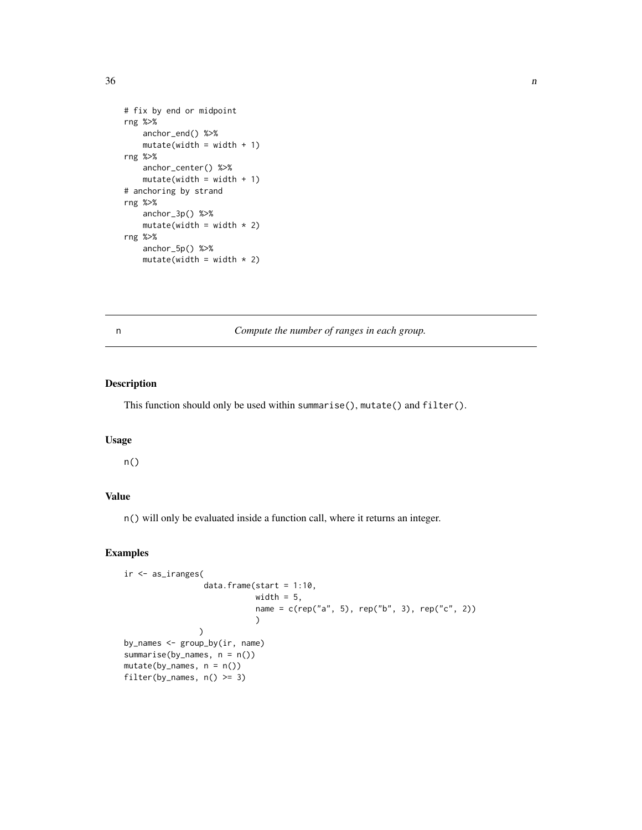```
# fix by end or midpoint
rng %>%
    anchor_end() %>%
   mutate(width = width + 1)rng %>%
    anchor_center() %>%
    mutate(width = width + 1)# anchoring by strand
rng %>%
    anchor_3p() %>%
    mutate(width = width * 2)
rng %>%
    anchor_5p() %>%
    mutate(width = width * 2)
```
n *Compute the number of ranges in each group.*

# Description

This function should only be used within summarise(), mutate() and filter().

#### Usage

n()

# Value

n() will only be evaluated inside a function call, where it returns an integer.

# Examples

```
ir <- as_iranges(
                  data.frame(start = 1:10,
                             width = 5,
                             name = c(rep("a", 5), rep("b", 3), rep("c", 2))
                             )
                 \mathcal{L}by_names <- group_by(ir, name)
summarise(by_names, n = n())
mutate(by\_names, n = n())filter(by_names, n() \geq 3)
```
<span id="page-35-0"></span> $36$  n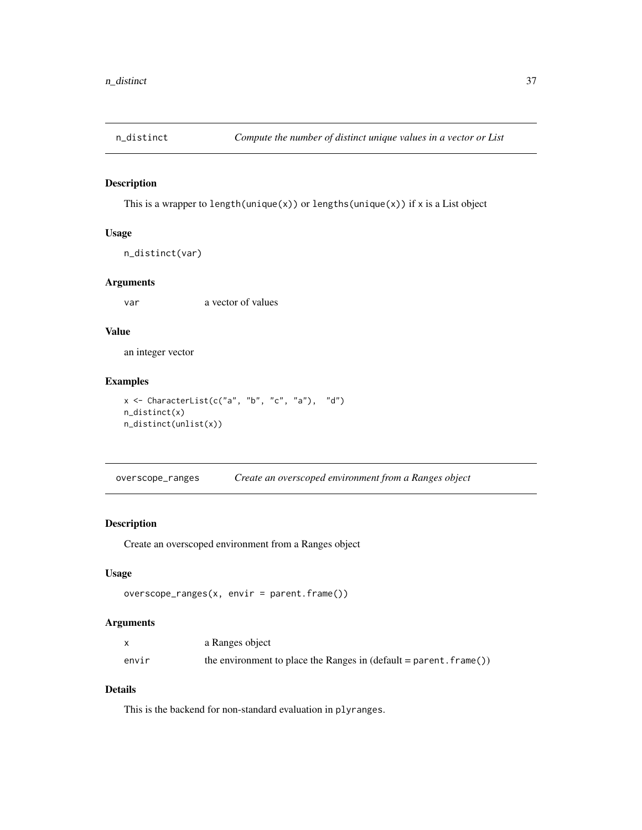<span id="page-36-0"></span>

This is a wrapper to length(unique(x)) or lengths(unique(x)) if x is a List object

# Usage

n\_distinct(var)

# Arguments

var a vector of values

#### Value

an integer vector

# Examples

```
x \leftarrow CharacterList(c("a", "b", "c", "a"), "d")
n_distinct(x)
n_distinct(unlist(x))
```
overscope\_ranges *Create an overscoped environment from a Ranges object*

# Description

Create an overscoped environment from a Ranges object

# Usage

```
overscope_ranges(x, envir = parent.frame())
```
# Arguments

|       | a Ranges object                                                       |
|-------|-----------------------------------------------------------------------|
| envir | the environment to place the Ranges in $(detault = parent . frame())$ |

# Details

This is the backend for non-standard evaluation in plyranges.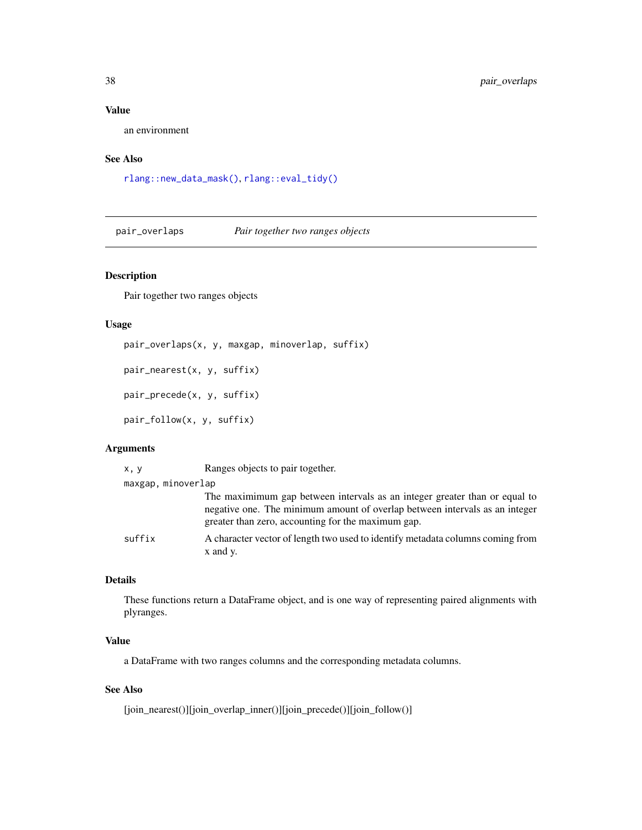# Value

an environment

# See Also

[rlang::new\\_data\\_mask\(\)](#page-0-0), [rlang::eval\\_tidy\(\)](#page-0-0)

pair\_overlaps *Pair together two ranges objects*

# Description

Pair together two ranges objects

# Usage

```
pair_overlaps(x, y, maxgap, minoverlap, suffix)
pair_nearest(x, y, suffix)
pair_precede(x, y, suffix)
pair_follow(x, y, suffix)
```
# Arguments

| x, y               | Ranges objects to pair together.                                                                                                                                                                                |
|--------------------|-----------------------------------------------------------------------------------------------------------------------------------------------------------------------------------------------------------------|
| maxgap, minoverlap |                                                                                                                                                                                                                 |
|                    | The maximimum gap between intervals as an integer greater than or equal to<br>negative one. The minimum amount of overlap between intervals as an integer<br>greater than zero, accounting for the maximum gap. |
| suffix             | A character vector of length two used to identify metadata columns coming from<br>x and y.                                                                                                                      |

# Details

These functions return a DataFrame object, and is one way of representing paired alignments with plyranges.

# Value

a DataFrame with two ranges columns and the corresponding metadata columns.

# See Also

[join\_nearest()][join\_overlap\_inner()][join\_precede()][join\_follow()]

<span id="page-37-0"></span>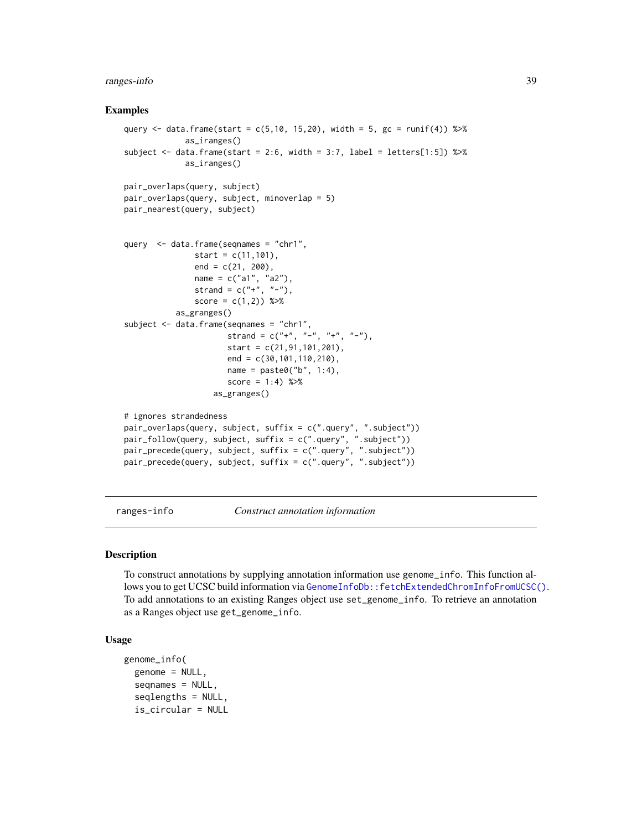# <span id="page-38-0"></span>ranges-info 39

#### Examples

```
query <- data.frame(start = c(5,10, 15,20), width = 5, gc = runif(4)) %>%
             as_iranges()
subject \leq data.frame(start = 2:6, width = 3:7, label = letters[1:5]) %>%
             as_iranges()
pair_overlaps(query, subject)
pair_overlaps(query, subject, minoverlap = 5)
pair_nearest(query, subject)
query <- data.frame(seqnames = "chr1",
               start = c(11,101),
               end = c(21, 200),
               name = c("a1", "a2"),strand = c("''", "''-"),
               score = c(1,2) %>%
           as_granges()
subject <- data.frame(seqnames = "chr1",
                      strand = c("+", "-", "+", "-"),start = c(21,91,101,201),
                      end = c(30, 101, 110, 210),
                      name = paste0("b", 1:4),score = 1:4) %>%
                   as_granges()
# ignores strandedness
pair_overlaps(query, subject, suffix = c(".query", ".subject"))
pair_follow(query, subject, suffix = c(".query", ".subject"))
pair_precede(query, subject, suffix = c(".query", ".subject"))
pair_precede(query, subject, suffix = c(".query", ".subject"))
```
ranges-info *Construct annotation information*

#### Description

To construct annotations by supplying annotation information use genome\_info. This function allows you to get UCSC build information via [GenomeInfoDb::fetchExtendedChromInfoFromUCSC\(\)](#page-0-0). To add annotations to an existing Ranges object use set\_genome\_info. To retrieve an annotation as a Ranges object use get\_genome\_info.

# Usage

```
genome_info(
  genome = NULL,
  seqnames = NULL,
  seqlengths = NULL,
  is_circular = NULL
```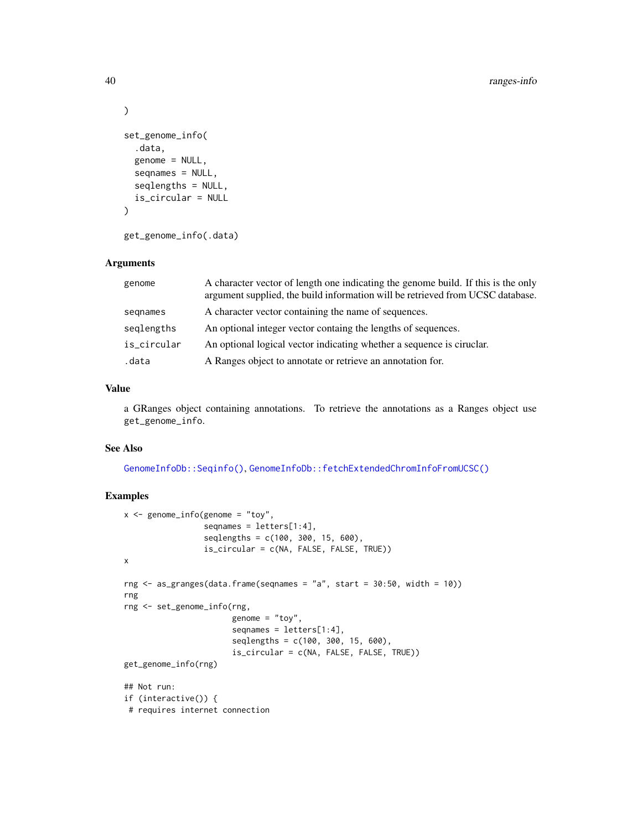```
)
set_genome_info(
  .data,
  genome = NULL,
  seqnames = NULL,
  seqlengths = NULL,
  is_circular = NULL
\lambda
```

```
get_genome_info(.data)
```
#### Arguments

| genome      | A character vector of length one indicating the genome build. If this is the only<br>argument supplied, the build information will be retrieved from UCSC database. |
|-------------|---------------------------------------------------------------------------------------------------------------------------------------------------------------------|
| segnames    | A character vector containing the name of sequences.                                                                                                                |
| seglengths  | An optional integer vector containg the lengths of sequences.                                                                                                       |
| is_circular | An optional logical vector indicating whether a sequence is ciruclar.                                                                                               |
| .data       | A Ranges object to annotate or retrieve an annotation for.                                                                                                          |

#### Value

a GRanges object containing annotations. To retrieve the annotations as a Ranges object use get\_genome\_info.

#### See Also

[GenomeInfoDb::Seqinfo\(\)](#page-0-0), [GenomeInfoDb::fetchExtendedChromInfoFromUCSC\(\)](#page-0-0)

```
x <- genome_info(genome = "toy",
                 seqnames = letters[1:4],
                 seqlengths = c(100, 300, 15, 600),
                 is_circular = c(NA, FALSE, FALSE, TRUE))
x
rng \leq as_granges(data.frame(seqnames = "a", start = 30:50, width = 10))
rng
rng <- set_genome_info(rng,
                       genome = "toy",
                       seqnames = letters[1:4],
                       seqlengths = c(100, 300, 15, 600),
                       is_circular = c(NA, FALSE, FALSE, TRUE))
get_genome_info(rng)
## Not run:
if (interactive()) {
# requires internet connection
```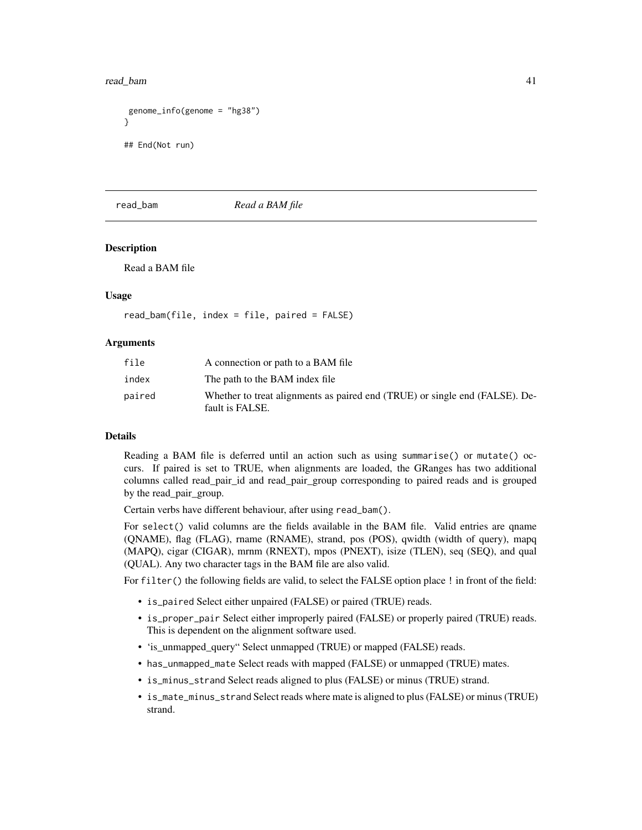<span id="page-40-0"></span>read\_bam 41

```
genome_info(genome = "hg38")
}
## End(Not run)
```
# read\_bam *Read a BAM file*

#### Description

Read a BAM file

# Usage

```
read_bam(file, index = file, paired = FALSE)
```
#### Arguments

| file   | A connection or path to a BAM file                                                             |
|--------|------------------------------------------------------------------------------------------------|
| index  | The path to the BAM index file                                                                 |
| paired | Whether to treat alignments as paired end (TRUE) or single end (FALSE). De-<br>fault is FALSE. |

#### Details

Reading a BAM file is deferred until an action such as using summarise() or mutate() occurs. If paired is set to TRUE, when alignments are loaded, the GRanges has two additional columns called read\_pair\_id and read\_pair\_group corresponding to paired reads and is grouped by the read\_pair\_group.

Certain verbs have different behaviour, after using read\_bam().

For select() valid columns are the fields available in the BAM file. Valid entries are qname (QNAME), flag (FLAG), rname (RNAME), strand, pos (POS), qwidth (width of query), mapq (MAPQ), cigar (CIGAR), mrnm (RNEXT), mpos (PNEXT), isize (TLEN), seq (SEQ), and qual (QUAL). Any two character tags in the BAM file are also valid.

For filter() the following fields are valid, to select the FALSE option place ! in front of the field:

- is\_paired Select either unpaired (FALSE) or paired (TRUE) reads.
- is\_proper\_pair Select either improperly paired (FALSE) or properly paired (TRUE) reads. This is dependent on the alignment software used.
- 'is\_unmapped\_query" Select unmapped (TRUE) or mapped (FALSE) reads.
- has\_unmapped\_mate Select reads with mapped (FALSE) or unmapped (TRUE) mates.
- is\_minus\_strand Select reads aligned to plus (FALSE) or minus (TRUE) strand.
- is\_mate\_minus\_strand Select reads where mate is aligned to plus (FALSE) or minus (TRUE) strand.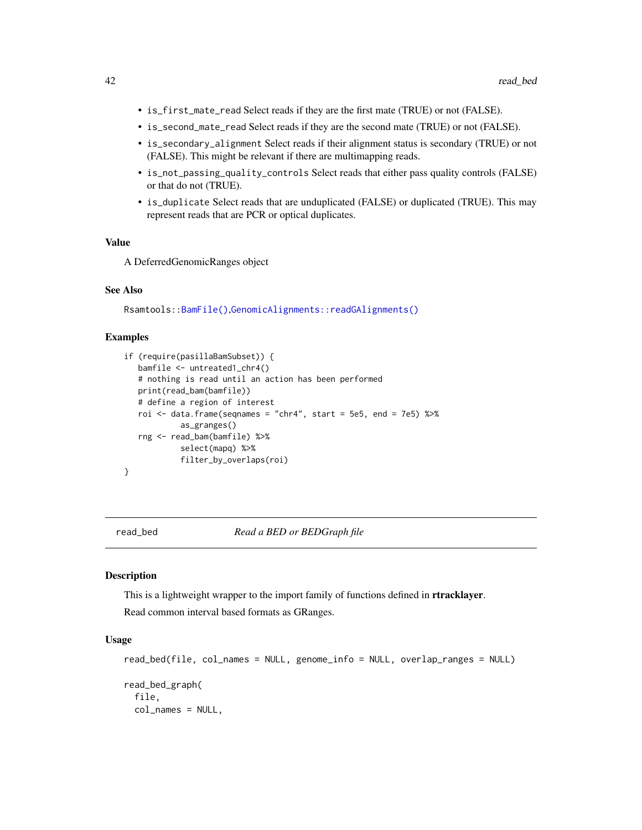- <span id="page-41-0"></span>• is\_first\_mate\_read Select reads if they are the first mate (TRUE) or not (FALSE).
- is\_second\_mate\_read Select reads if they are the second mate (TRUE) or not (FALSE).
- is\_secondary\_alignment Select reads if their alignment status is secondary (TRUE) or not (FALSE). This might be relevant if there are multimapping reads.
- is\_not\_passing\_quality\_controls Select reads that either pass quality controls (FALSE) or that do not (TRUE).
- is\_duplicate Select reads that are unduplicated (FALSE) or duplicated (TRUE). This may represent reads that are PCR or optical duplicates.

# Value

A DeferredGenomicRanges object

#### See Also

Rsamtools:[:BamFile\(\)](#page-0-0),[GenomicAlignments::readGAlignments\(\)](#page-0-0)

#### Examples

```
if (require(pasillaBamSubset)) {
  bamfile <- untreated1_chr4()
   # nothing is read until an action has been performed
  print(read_bam(bamfile))
  # define a region of interest
  roi \le data.frame(seqnames = "chr4", start = 5e5, end = 7e5) %\gg%
            as_granges()
  rng <- read_bam(bamfile) %>%
            select(mapq) %>%
            filter_by_overlaps(roi)
}
```
read\_bed *Read a BED or BEDGraph file*

# Description

This is a lightweight wrapper to the import family of functions defined in **rtracklayer**. Read common interval based formats as GRanges.

#### Usage

```
read_bed(file, col_names = NULL, genome_info = NULL, overlap_ranges = NULL)
read_bed_graph(
  file,
 col_names = NULL,
```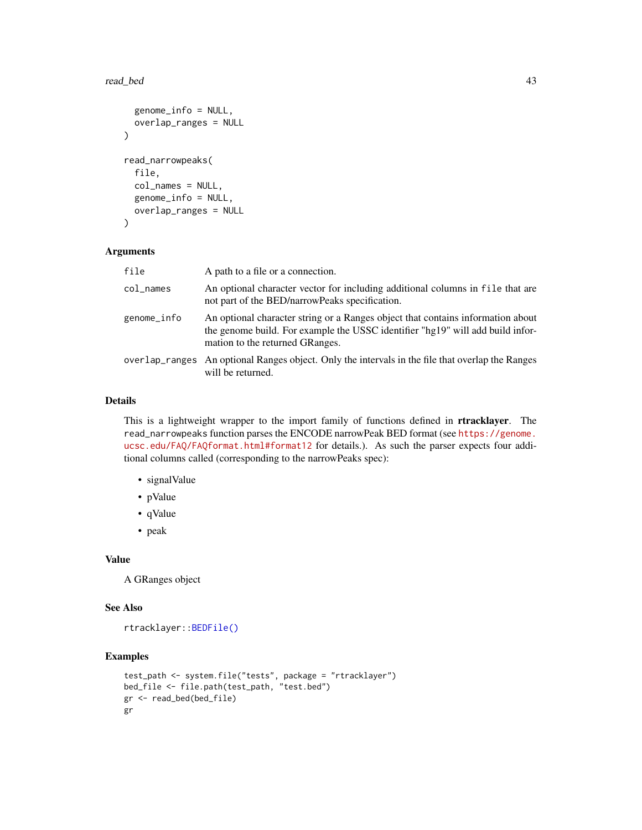#### <span id="page-42-0"></span>read\_bed 43

```
genome_info = NULL,
 overlap_ranges = NULL
\lambdaread_narrowpeaks(
  file,
  col_names = NULL,
  genome_info = NULL,
 overlap_ranges = NULL
)
```
# Arguments

| file            | A path to a file or a connection.                                                                                                                                                                    |
|-----------------|------------------------------------------------------------------------------------------------------------------------------------------------------------------------------------------------------|
| $col$ $\_names$ | An optional character vector for including additional columns in file that are<br>not part of the BED/narrowPeaks specification.                                                                     |
| genome_info     | An optional character string or a Ranges object that contains information about<br>the genome build. For example the USSC identifier "hg19" will add build infor-<br>mation to the returned GRanges. |
|                 | overlap_ranges An optional Ranges object. Only the intervals in the file that overlap the Ranges<br>will be returned.                                                                                |

#### Details

This is a lightweight wrapper to the import family of functions defined in rtracklayer. The read\_narrowpeaks function parses the ENCODE narrowPeak BED format (see [https://genome.](https://genome.ucsc.edu/FAQ/FAQformat.html#format12) [ucsc.edu/FAQ/FAQformat.html#format12](https://genome.ucsc.edu/FAQ/FAQformat.html#format12) for details.). As such the parser expects four additional columns called (corresponding to the narrowPeaks spec):

- signalValue
- pValue
- qValue
- peak

# Value

A GRanges object

#### See Also

```
rtracklayer::BEDFile()
```

```
test_path <- system.file("tests", package = "rtracklayer")
bed_file <- file.path(test_path, "test.bed")
gr <- read_bed(bed_file)
gr
```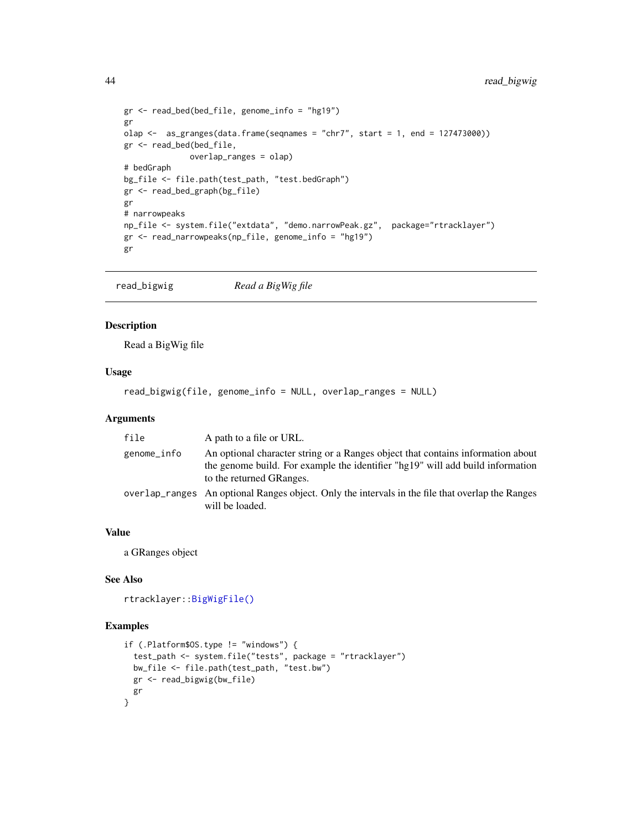```
gr <- read_bed(bed_file, genome_info = "hg19")
gr
olap <- as_granges(data.frame(seqnames = "chr7", start = 1, end = 127473000))
gr <- read_bed(bed_file,
             overlap_ranges = olap)
# bedGraph
bg_file <- file.path(test_path, "test.bedGraph")
gr <- read_bed_graph(bg_file)
gr
# narrowpeaks
np_file <- system.file("extdata", "demo.narrowPeak.gz", package="rtracklayer")
gr <- read_narrowpeaks(np_file, genome_info = "hg19")
gr
```
read\_bigwig *Read a BigWig file*

# Description

Read a BigWig file

# Usage

read\_bigwig(file, genome\_info = NULL, overlap\_ranges = NULL)

# Arguments

| file        | A path to a file or URL.                                                                                                                                                                      |
|-------------|-----------------------------------------------------------------------------------------------------------------------------------------------------------------------------------------------|
| genome_info | An optional character string or a Ranges object that contains information about<br>the genome build. For example the identifier "hg19" will add build information<br>to the returned GRanges. |
|             | overlap_ranges An optional Ranges object. Only the intervals in the file that overlap the Ranges<br>will be loaded.                                                                           |

# Value

a GRanges object

# See Also

```
rtracklayer::BigWigFile()
```

```
if (.Platform$OS.type != "windows") {
  test_path <- system.file("tests", package = "rtracklayer")
  bw_file <- file.path(test_path, "test.bw")
  gr <- read_bigwig(bw_file)
 gr
}
```
<span id="page-43-0"></span>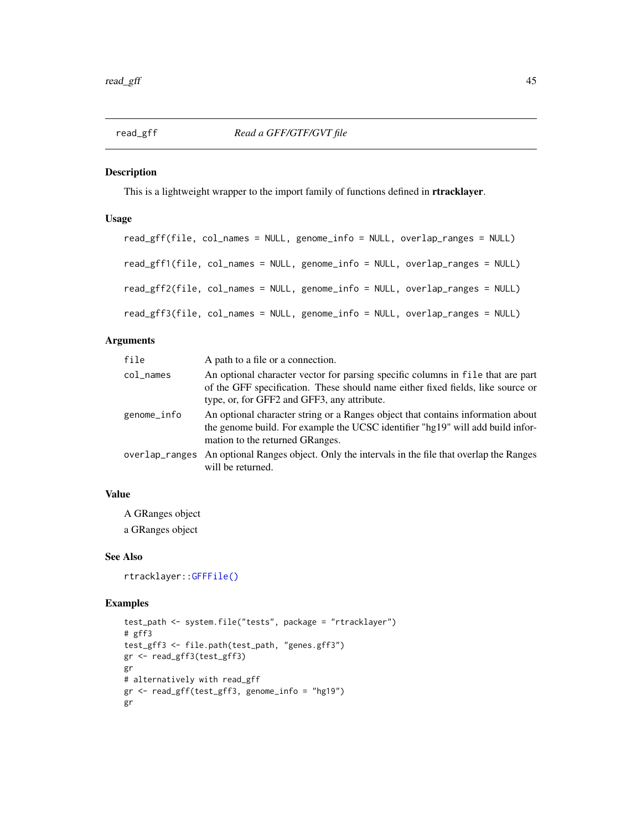<span id="page-44-0"></span>

This is a lightweight wrapper to the import family of functions defined in **rtracklayer**.

# Usage

```
read_gff(file, col_names = NULL, genome_info = NULL, overlap_ranges = NULL)
read_gff1(file, col_names = NULL, genome_info = NULL, overlap_ranges = NULL)
read_gff2(file, col_names = NULL, genome_info = NULL, overlap_ranges = NULL)
read_gff3(file, col_names = NULL, genome_info = NULL, overlap_ranges = NULL)
```
# Arguments

| file        | A path to a file or a connection.                                                                                                                                                                                 |
|-------------|-------------------------------------------------------------------------------------------------------------------------------------------------------------------------------------------------------------------|
| col names   | An optional character vector for parsing specific columns in file that are part<br>of the GFF specification. These should name either fixed fields, like source or<br>type, or, for GFF2 and GFF3, any attribute. |
| genome_info | An optional character string or a Ranges object that contains information about<br>the genome build. For example the UCSC identifier "hg19" will add build infor-<br>mation to the returned GRanges.              |
|             | overlap_ranges An optional Ranges object. Only the intervals in the file that overlap the Ranges<br>will be returned.                                                                                             |

# Value

A GRanges object

a GRanges object

#### See Also

rtracklayer:[:GFFFile\(\)](#page-0-0)

```
test_path <- system.file("tests", package = "rtracklayer")
# gff3
test_gff3 <- file.path(test_path, "genes.gff3")
gr <- read_gff3(test_gff3)
gr
# alternatively with read_gff
gr <- read_gff(test_gff3, genome_info = "hg19")
gr
```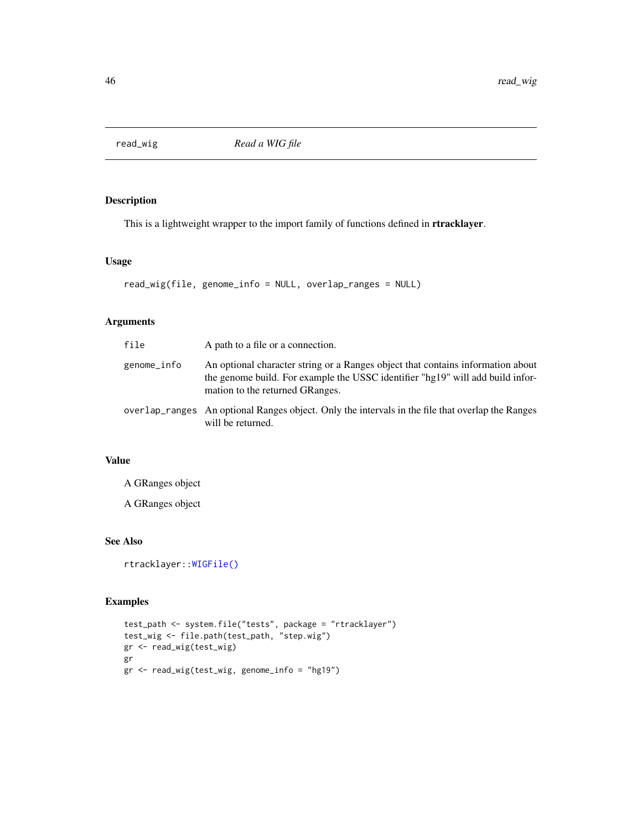<span id="page-45-0"></span>

This is a lightweight wrapper to the import family of functions defined in rtracklayer.

#### Usage

```
read_wig(file, genome_info = NULL, overlap_ranges = NULL)
```
# Arguments

| file        | A path to a file or a connection.                                                                                                                                                                    |
|-------------|------------------------------------------------------------------------------------------------------------------------------------------------------------------------------------------------------|
| genome_info | An optional character string or a Ranges object that contains information about<br>the genome build. For example the USSC identifier "hg19" will add build infor-<br>mation to the returned GRanges. |
|             | overlap ranges An optional Ranges object. Only the intervals in the file that overlap the Ranges<br>will be returned.                                                                                |

# Value

A GRanges object

A GRanges object

# See Also

rtracklayer:[:WIGFile\(\)](#page-0-0)

```
test_path <- system.file("tests", package = "rtracklayer")
test_wig <- file.path(test_path, "step.wig")
gr <- read_wig(test_wig)
gr
gr <- read_wig(test_wig, genome_info = "hg19")
```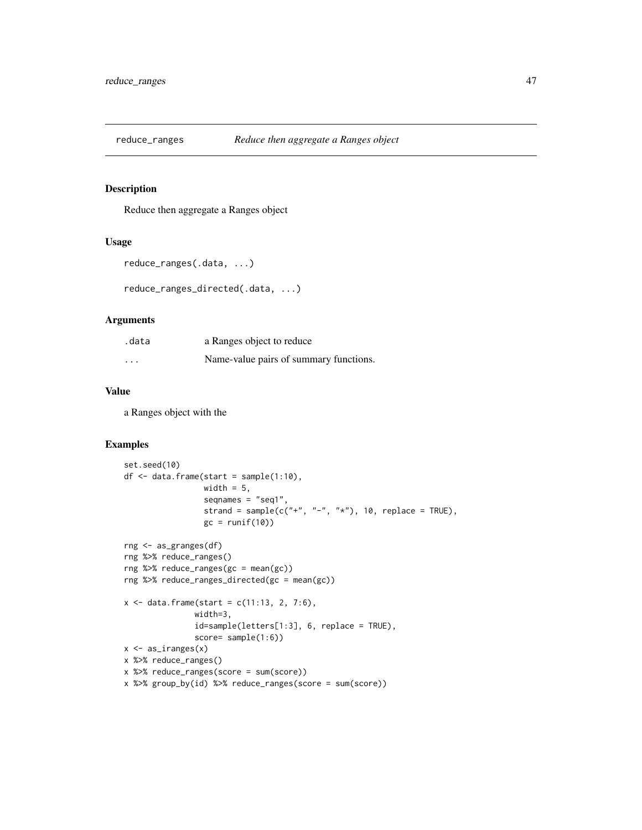<span id="page-46-0"></span>

Reduce then aggregate a Ranges object

# Usage

```
reduce_ranges(.data, ...)
```

```
reduce_ranges_directed(.data, ...)
```
#### Arguments

| .data    | a Ranges object to reduce              |
|----------|----------------------------------------|
| $\cdots$ | Name-value pairs of summary functions. |

# Value

a Ranges object with the

```
set.seed(10)
df <- data.frame(start = sample(1:10),
                 width = 5,
                 seqnames = "seq1",
                 strand = sample(c("+", "-", "*"), 10, replace = TRUE),
                 gc = runif(10)rng <- as_granges(df)
rng %>% reduce_ranges()
rng %>% reduce_ranges(gc = mean(gc))
rng %>% reduce_ranges_directed(gc = mean(gc))
x \le - data.frame(start = c(11:13, 2, 7:6),
               width=3,
               id=sample(letters[1:3], 6, replace = TRUE),
               score= sample(1:6))
x <- as_iranges(x)
x %>% reduce_ranges()
x %>% reduce_ranges(score = sum(score))
x %>% group_by(id) %>% reduce_ranges(score = sum(score))
```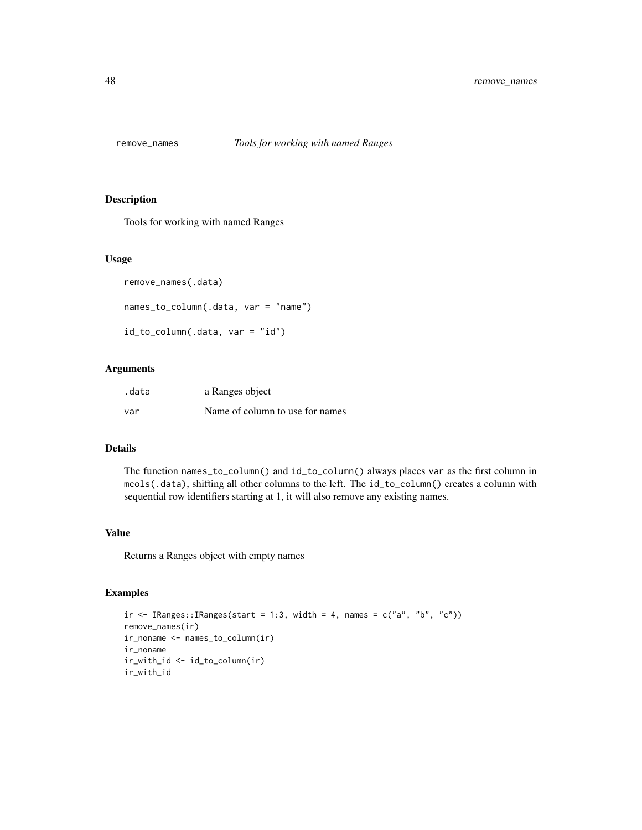<span id="page-47-0"></span>

Tools for working with named Ranges

#### Usage

```
remove_names(.data)
```

```
names_to_column(.data, var = "name")
```

```
id_to_column(.data, var = "id")
```
# Arguments

| .data | a Ranges object                 |
|-------|---------------------------------|
| var   | Name of column to use for names |

#### Details

The function names\_to\_column() and id\_to\_column() always places var as the first column in mcols(.data), shifting all other columns to the left. The id\_to\_column() creates a column with sequential row identifiers starting at 1, it will also remove any existing names.

#### Value

Returns a Ranges object with empty names

```
ir \leq IRanges::IRanges(start = 1:3, width = 4, names = c("a", "b", "c"))remove_names(ir)
ir_noname <- names_to_column(ir)
ir_noname
ir_with_id <- id_to_column(ir)
ir_with_id
```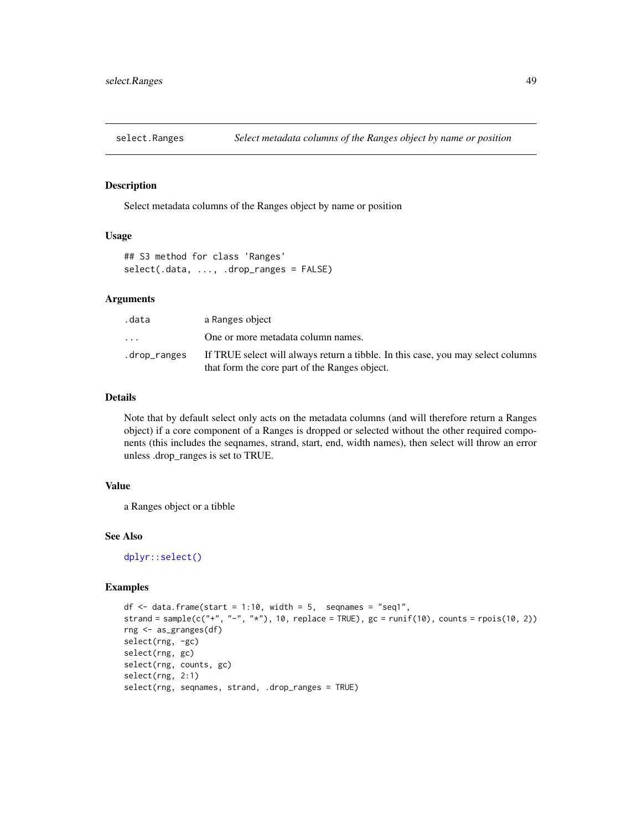<span id="page-48-0"></span>

Select metadata columns of the Ranges object by name or position

# Usage

```
## S3 method for class 'Ranges'
select(.data, ..., .drop_ranges = FALSE)
```
# Arguments

| .data                   | a Ranges object                                                                                                                   |
|-------------------------|-----------------------------------------------------------------------------------------------------------------------------------|
| $\cdot$ $\cdot$ $\cdot$ | One or more metadata column names.                                                                                                |
| .drop_ranges            | If TRUE select will always return a tibble. In this case, you may select columns<br>that form the core part of the Ranges object. |

# Details

Note that by default select only acts on the metadata columns (and will therefore return a Ranges object) if a core component of a Ranges is dropped or selected without the other required components (this includes the seqnames, strand, start, end, width names), then select will throw an error unless .drop\_ranges is set to TRUE.

# Value

a Ranges object or a tibble

# See Also

[dplyr::select\(\)](#page-0-0)

```
df \le- data.frame(start = 1:10, width = 5, seqnames = "seq1",
strand = sample(c("+", "-", "*"), 10, replace = TRUE), gc = runif(10), counts = rpois(10, 2))
rng <- as_granges(df)
select(rng, -gc)
select(rng, gc)
select(rng, counts, gc)
select(rng, 2:1)
select(rng, seqnames, strand, .drop_ranges = TRUE)
```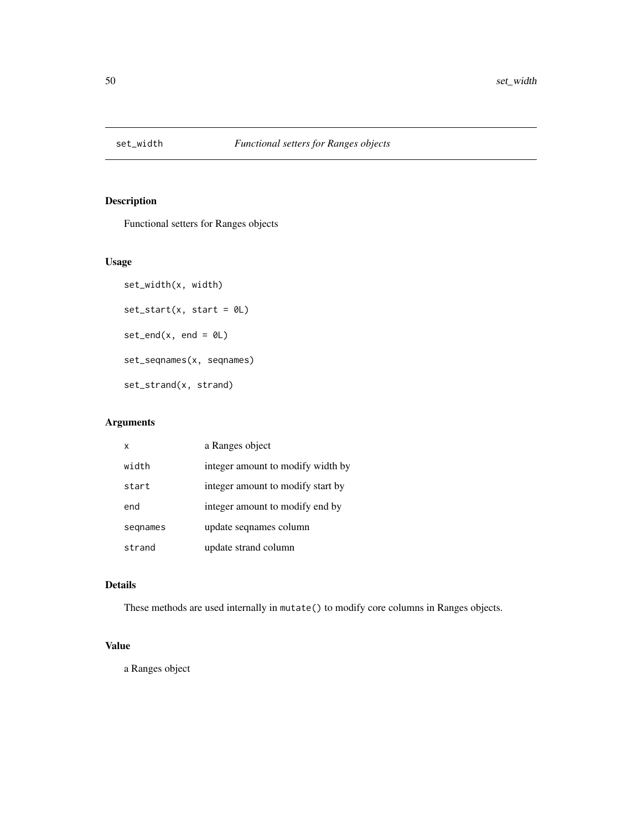<span id="page-49-0"></span>

Functional setters for Ranges objects

# Usage

```
set_width(x, width)
set\_start(x, start = 0L)set\_end(x, end = 0L)set_seqnames(x, seqnames)
set_strand(x, strand)
```
# Arguments

| $\boldsymbol{\mathsf{x}}$ | a Ranges object                   |
|---------------------------|-----------------------------------|
| width                     | integer amount to modify width by |
| start                     | integer amount to modify start by |
| end                       | integer amount to modify end by   |
| segnames                  | update segnames column            |
| strand                    | update strand column              |

# Details

These methods are used internally in mutate() to modify core columns in Ranges objects.

# Value

a Ranges object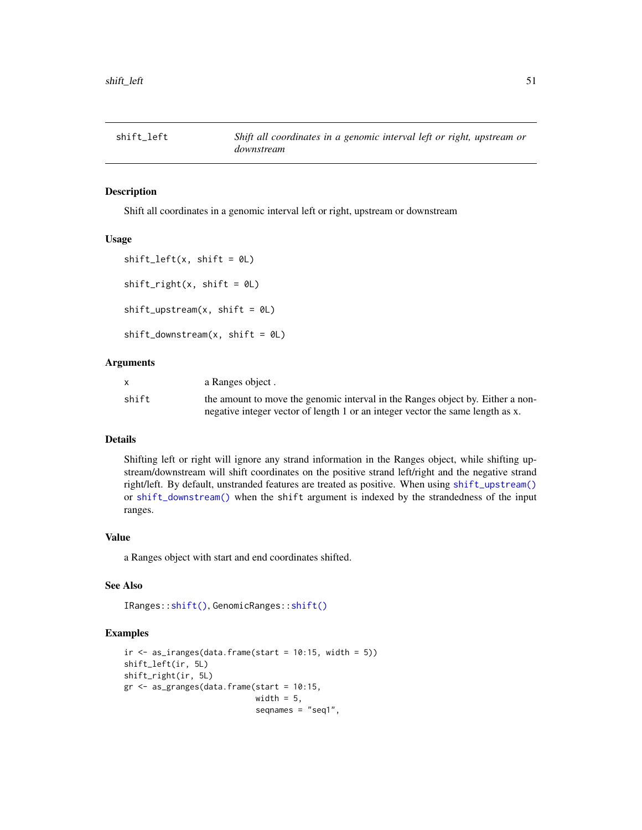<span id="page-50-1"></span><span id="page-50-0"></span>

Shift all coordinates in a genomic interval left or right, upstream or downstream

#### Usage

```
shift\_left(x, shift = 0L)shift\_right(x, shift = 0L)shift\_upstream(x, shift = 0L)shift\_downstream(x, shift = 0L)
```
# Arguments

|       | a Ranges object.                                                               |
|-------|--------------------------------------------------------------------------------|
| shift | the amount to move the genomic interval in the Ranges object by. Either a non- |
|       | negative integer vector of length 1 or an integer vector the same length as x. |

#### Details

Shifting left or right will ignore any strand information in the Ranges object, while shifting upstream/downstream will shift coordinates on the positive strand left/right and the negative strand right/left. By default, unstranded features are treated as positive. When using [shift\\_upstream\(\)](#page-50-1) or [shift\\_downstream\(\)](#page-50-1) when the shift argument is indexed by the strandedness of the input ranges.

# Value

a Ranges object with start and end coordinates shifted.

# See Also

```
IRanges::shift(), GenomicRanges::shift()
```

```
ir < -as_iranges(data.frame(start = 10:15, width = 5))shift_left(ir, 5L)
shift_right(ir, 5L)
gr <- as_granges(data.frame(start = 10:15,
                            width = 5,
                            seqnames = "seq1",
```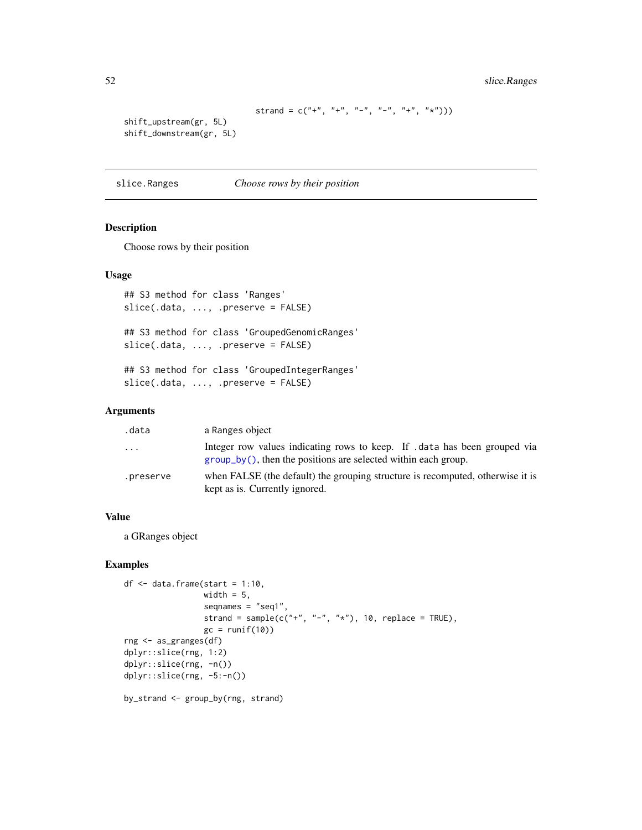```
strand = c("+", "+", "-", "-", "+", "*")
```

```
shift_upstream(gr, 5L)
shift_downstream(gr, 5L)
```
slice.Ranges *Choose rows by their position*

# Description

Choose rows by their position

# Usage

```
## S3 method for class 'Ranges'
slice(.data, ..., .preserve = FALSE)
## S3 method for class 'GroupedGenomicRanges'
slice(.data, ..., .preserve = FALSE)
## S3 method for class 'GroupedIntegerRanges'
slice(.data, ..., .preserve = FALSE)
```
# Arguments

| .data     | a Ranges object                                                                                                                               |
|-----------|-----------------------------------------------------------------------------------------------------------------------------------------------|
| .         | Integer row values indicating rows to keep. If data has been grouped via<br>$group_by()$ , then the positions are selected within each group. |
| .preserve | when FALSE (the default) the grouping structure is recomputed, otherwise it is<br>kept as is. Currently ignored.                              |

#### Value

a GRanges object

# Examples

```
df \leq data.frame(start = 1:10,
                 width = 5,
                 seqnames = "seq1",
                 strand = sample(c("+", "-", "*"), 10, replace = TRUE),
                 gc = runif(10)rng <- as_granges(df)
dplyr::slice(rng, 1:2)
dplyr::slice(rng, -n())
dplyr::slice(rng, -5:-n())
```
by\_strand <- group\_by(rng, strand)

<span id="page-51-0"></span>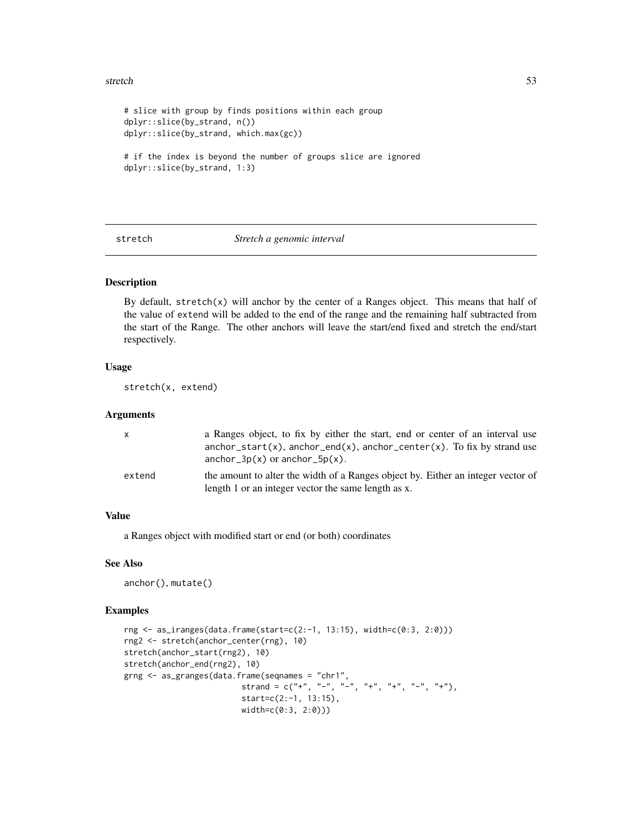#### <span id="page-52-0"></span>stretch 53

```
# slice with group by finds positions within each group
dplyr::slice(by_strand, n())
dplyr::slice(by_strand, which.max(gc))
# if the index is beyond the number of groups slice are ignored
dplyr::slice(by_strand, 1:3)
```
#### <span id="page-52-1"></span>stretch *Stretch a genomic interval*

# Description

By default, stretch $(x)$  will anchor by the center of a Ranges object. This means that half of the value of extend will be added to the end of the range and the remaining half subtracted from the start of the Range. The other anchors will leave the start/end fixed and stretch the end/start respectively.

# Usage

stretch(x, extend)

#### Arguments

| X      | a Ranges object, to fix by either the start, end or center of an interval use<br>$anchor_start(x)$ , $anchor_end(x)$ , $anchor_center(x)$ . To fix by strand use |
|--------|------------------------------------------------------------------------------------------------------------------------------------------------------------------|
|        | $anchor_3p(x)$ or $anchor_5p(x)$ .                                                                                                                               |
| extend | the amount to alter the width of a Ranges object by. Either an integer vector of<br>length 1 or an integer vector the same length as x.                          |

# Value

a Ranges object with modified start or end (or both) coordinates

#### See Also

anchor(), mutate()

```
rng <- as_iranges(data.frame(start=c(2:-1, 13:15), width=c(0:3, 2:0)))
rng2 <- stretch(anchor_center(rng), 10)
stretch(anchor_start(rng2), 10)
stretch(anchor_end(rng2), 10)
grng <- as_granges(data.frame(seqnames = "chr1",
                        strand = c("+", "-", "-", "+", "+", "-", "+");start=c(2:-1, 13:15),
                        width=c(0:3, 2:0)))
```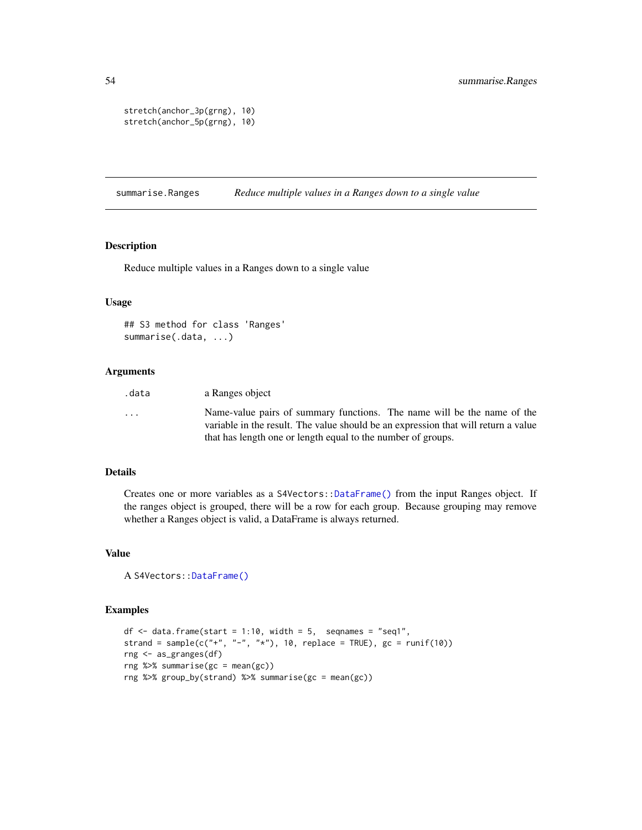```
stretch(anchor_3p(grng), 10)
stretch(anchor_5p(grng), 10)
```
summarise.Ranges *Reduce multiple values in a Ranges down to a single value*

#### Description

Reduce multiple values in a Ranges down to a single value

#### Usage

```
## S3 method for class 'Ranges'
summarise(.data, ...)
```
# Arguments

| .data                   | a Ranges object                                                                                                                                               |
|-------------------------|---------------------------------------------------------------------------------------------------------------------------------------------------------------|
| $\cdot$ $\cdot$ $\cdot$ | Name-value pairs of summary functions. The name will be the name of the<br>variable in the result. The value should be an expression that will return a value |
|                         | that has length one or length equal to the number of groups.                                                                                                  |

#### Details

Creates one or more variables as a S4Vectors:[:DataFrame\(\)](#page-0-0) from the input Ranges object. If the ranges object is grouped, there will be a row for each group. Because grouping may remove whether a Ranges object is valid, a DataFrame is always returned.

#### Value

```
A S4Vectors::DataFrame()
```

```
df \le data.frame(start = 1:10, width = 5, seqnames = "seq1",
strand = sample(c("+", "-", "*"), 10, replace = TRUE), gc = runif(10))
rng <- as_granges(df)
rng %>% summarise(gc = mean(gc))
rng %>% group_by(strand) %>% summarise(gc = mean(gc))
```
<span id="page-53-0"></span>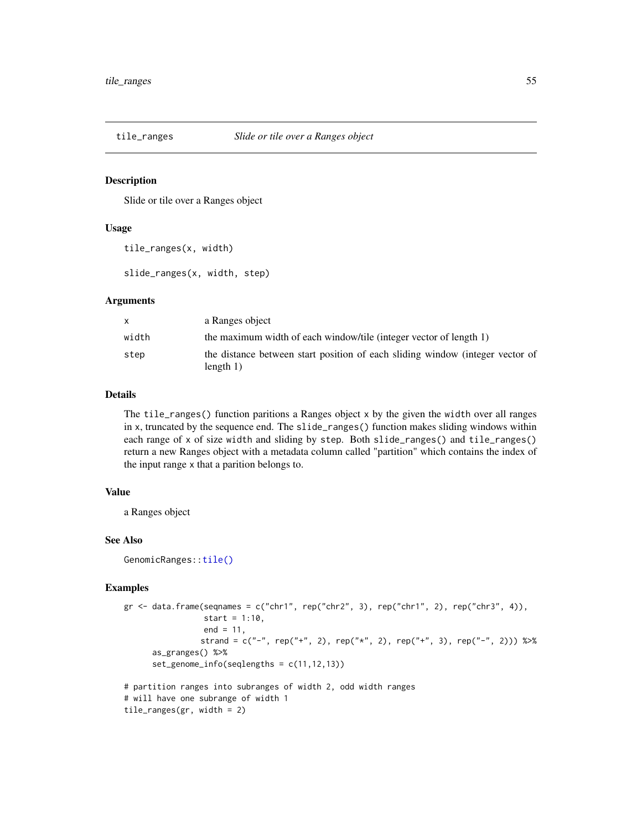<span id="page-54-0"></span>

Slide or tile over a Ranges object

#### Usage

tile\_ranges(x, width)

slide\_ranges(x, width, step)

#### Arguments

| X     | a Ranges object                                                                              |
|-------|----------------------------------------------------------------------------------------------|
| width | the maximum width of each window/tile (integer vector of length 1)                           |
| step  | the distance between start position of each sliding window (integer vector of<br>length $1)$ |

#### Details

The tile\_ranges() function paritions a Ranges object x by the given the width over all ranges in x, truncated by the sequence end. The slide\_ranges() function makes sliding windows within each range of x of size width and sliding by step. Both slide\_ranges() and tile\_ranges() return a new Ranges object with a metadata column called "partition" which contains the index of the input range x that a parition belongs to.

#### Value

a Ranges object

#### See Also

GenomicRanges:[:tile\(\)](#page-0-0)

```
gr \leftarrow data-frame(seqnames = c("chr1", rep("chr2", 3), rep("chr1", 2), rep("chr3", 4)),start = 1:10,
                 end = 11,
                strand = c("-", rep("+", 2), rep("*", 2), rep("+", 3), rep("-", 2))) %>%
      as_granges() %>%
      set_genome_info(seqlengths = c(11,12,13))
# partition ranges into subranges of width 2, odd width ranges
# will have one subrange of width 1
```

```
tile_ranges(gr, width = 2)
```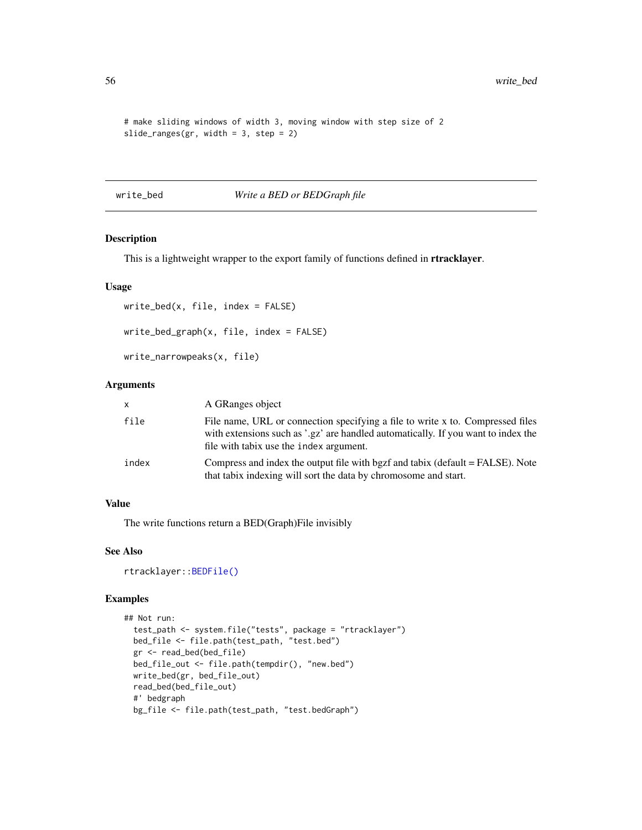```
# make sliding windows of width 3, moving window with step size of 2
slide_ranges(gr, width = 3, step = 2)
```
write\_bed *Write a BED or BEDGraph file*

# Description

This is a lightweight wrapper to the export family of functions defined in rtracklayer.

#### Usage

```
write_bed(x, file, index = FALSE)
write_bed_graph(x, file, index = FALSE)
```

```
write_narrowpeaks(x, file)
```
#### Arguments

| x     | A GRanges object                                                                                                                                                                                               |
|-------|----------------------------------------------------------------------------------------------------------------------------------------------------------------------------------------------------------------|
| file  | File name, URL or connection specifying a file to write x to. Compressed files<br>with extensions such as '.gz' are handled automatically. If you want to index the<br>file with tabix use the index argument. |
| index | Compress and index the output file with bgzf and tabix (default = FALSE). Note<br>that tabix indexing will sort the data by chromosome and start.                                                              |

#### Value

The write functions return a BED(Graph)File invisibly

# See Also

rtracklayer:[:BEDFile\(\)](#page-0-0)

```
## Not run:
 test_path <- system.file("tests", package = "rtracklayer")
 bed_file <- file.path(test_path, "test.bed")
 gr <- read_bed(bed_file)
 bed_file_out <- file.path(tempdir(), "new.bed")
 write_bed(gr, bed_file_out)
 read_bed(bed_file_out)
 #' bedgraph
 bg_file <- file.path(test_path, "test.bedGraph")
```
<span id="page-55-0"></span>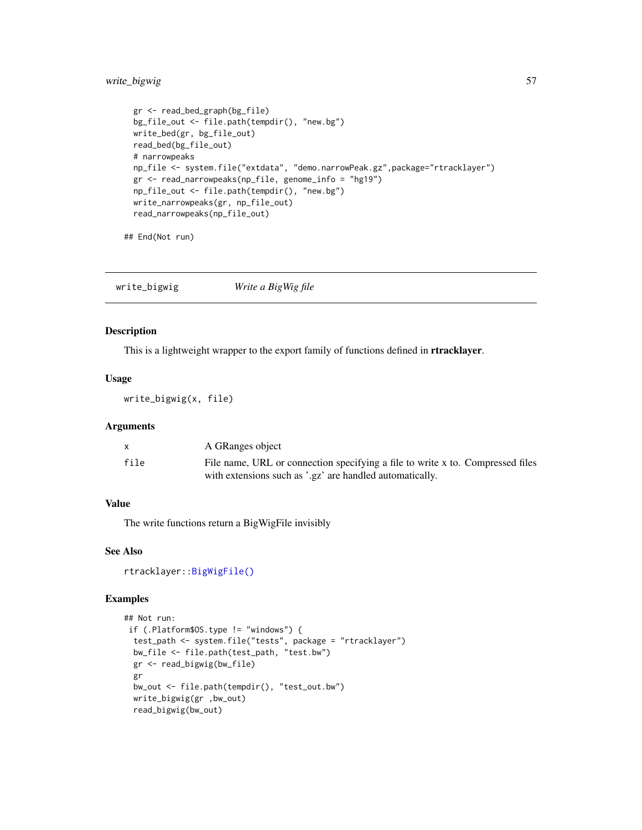# <span id="page-56-0"></span>write\_bigwig 57

```
gr <- read_bed_graph(bg_file)
bg_file_out <- file.path(tempdir(), "new.bg")
write_bed(gr, bg_file_out)
read_bed(bg_file_out)
# narrowpeaks
np_file <- system.file("extdata", "demo.narrowPeak.gz",package="rtracklayer")
gr <- read_narrowpeaks(np_file, genome_info = "hg19")
np_file_out <- file.path(tempdir(), "new.bg")
write_narrowpeaks(gr, np_file_out)
read_narrowpeaks(np_file_out)
```
## End(Not run)

write\_bigwig *Write a BigWig file*

#### Description

This is a lightweight wrapper to the export family of functions defined in **rtracklayer**.

#### Usage

write\_bigwig(x, file)

# Arguments

|      | A GRanges object                                                               |
|------|--------------------------------------------------------------------------------|
| file | File name, URL or connection specifying a file to write x to. Compressed files |
|      | with extensions such as '.gz' are handled automatically.                       |

#### Value

The write functions return a BigWigFile invisibly

# See Also

rtracklayer:[:BigWigFile\(\)](#page-0-0)

```
## Not run:
if (.Platform$OS.type != "windows") {
 test_path <- system.file("tests", package = "rtracklayer")
 bw_file <- file.path(test_path, "test.bw")
 gr <- read_bigwig(bw_file)
 gr
 bw_out <- file.path(tempdir(), "test_out.bw")
 write_bigwig(gr ,bw_out)
 read_bigwig(bw_out)
```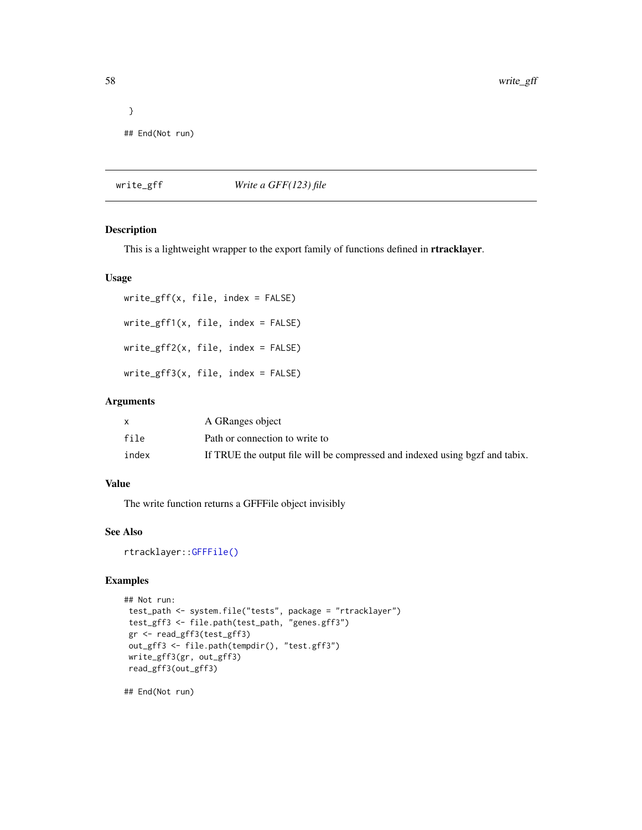```
}
## End(Not run)
```
#### write\_gff *Write a GFF(123) file*

#### Description

This is a lightweight wrapper to the export family of functions defined in **rtracklayer**.

#### Usage

```
write_gff(x, file, index = FALSE)
write_gff1(x, file, index = FALSE)
write_gff2(x, file, index = FALSE)
write_gff3(x, file, index = FALSE)
```
#### Arguments

|       | A GRanges object                                                             |
|-------|------------------------------------------------------------------------------|
| file  | Path or connection to write to                                               |
| index | If TRUE the output file will be compressed and indexed using bgzf and tabix. |

# Value

The write function returns a GFFFile object invisibly

# See Also

rtracklayer:[:GFFFile\(\)](#page-0-0)

#### Examples

```
## Not run:
test_path <- system.file("tests", package = "rtracklayer")
test_gff3 <- file.path(test_path, "genes.gff3")
gr <- read_gff3(test_gff3)
out_gff3 <- file.path(tempdir(), "test.gff3")
write_gff3(gr, out_gff3)
read_gff3(out_gff3)
```
## End(Not run)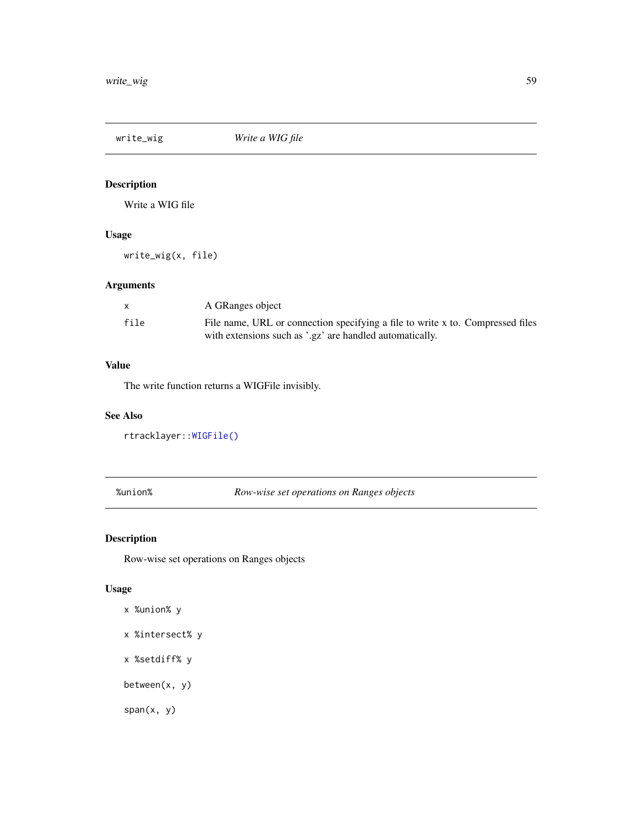<span id="page-58-0"></span>

Write a WIG file

# Usage

write\_wig(x, file)

# Arguments

|      | A GRanges object                                                               |
|------|--------------------------------------------------------------------------------|
| file | File name, URL or connection specifying a file to write x to. Compressed files |
|      | with extensions such as '.gz' are handled automatically.                       |

# Value

The write function returns a WIGFile invisibly.

#### See Also

rtracklayer:[:WIGFile\(\)](#page-0-0)

# %union% *Row-wise set operations on Ranges objects*

# <span id="page-58-1"></span>Description

Row-wise set operations on Ranges objects

# Usage

```
x %union% y
```

```
x %intersect% y
```
x %setdiff% y

between(x, y)

span(x, y)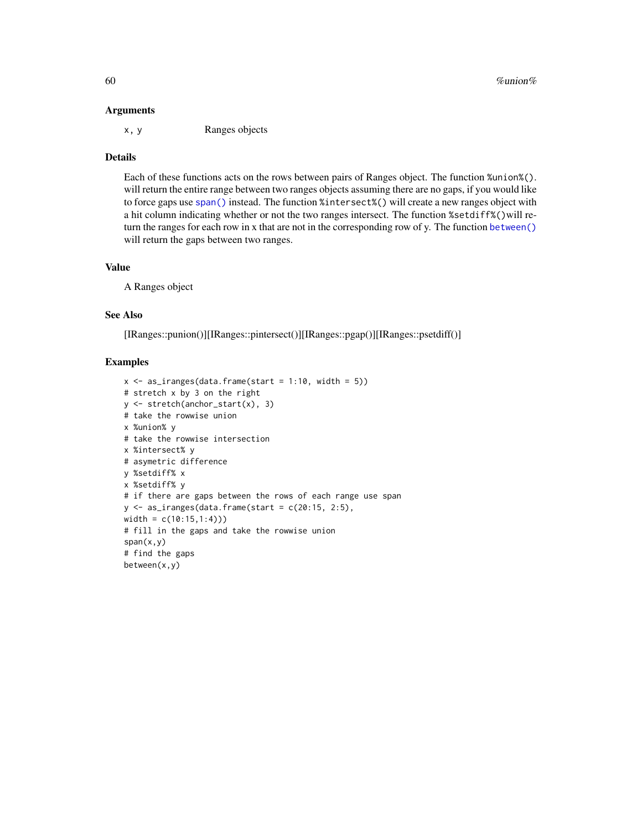#### <span id="page-59-0"></span>Arguments

x, y Ranges objects

#### Details

Each of these functions acts on the rows between pairs of Ranges object. The function %union%(). will return the entire range between two ranges objects assuming there are no gaps, if you would like to force gaps use [span\(\)](#page-58-1) instead. The function %intersect%() will create a new ranges object with a hit column indicating whether or not the two ranges intersect. The function %setdiff%()will return the ranges for each row in x that are not in the corresponding row of y. The function [between\(\)](#page-58-1) will return the gaps between two ranges.

#### Value

A Ranges object

#### See Also

[IRanges::punion()][IRanges::pintersect()][IRanges::pgap()][IRanges::psetdiff()]

```
x \le - as_iranges(data.frame(start = 1:10, width = 5))
# stretch x by 3 on the right
y <- stretch(anchor_start(x), 3)
# take the rowwise union
x %union% y
# take the rowwise intersection
x %intersect% y
# asymetric difference
y %setdiff% x
x %setdiff% y
# if there are gaps between the rows of each range use span
y \leftarrow as\_iranges(data-frame(start = c(20:15, 2:5),width = c(10:15,1:4)))
# fill in the gaps and take the rowwise union
span(x,y)
# find the gaps
between(x,y)
```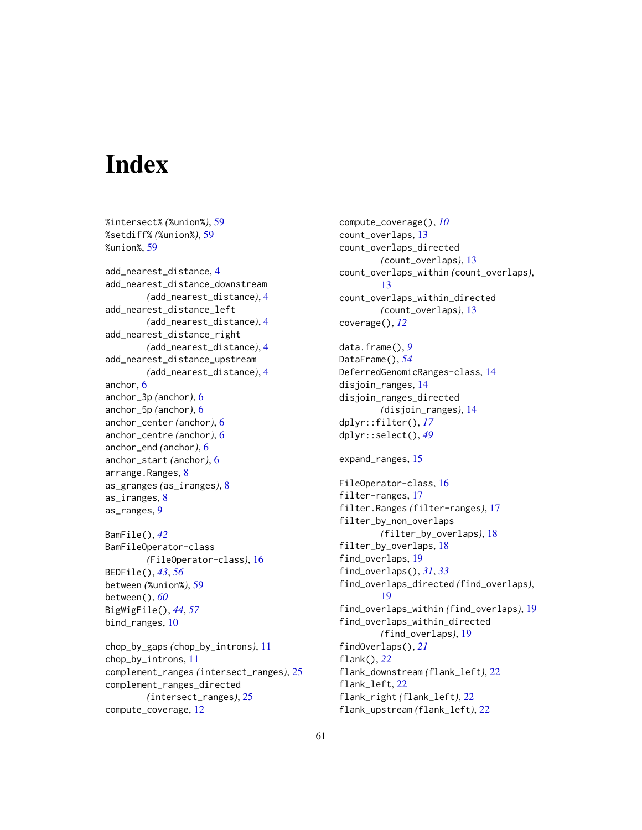# <span id="page-60-0"></span>**Index**

%intersect% *(*%union%*)*, [59](#page-58-0) %setdiff% *(*%union%*)*, [59](#page-58-0) %union%, [59](#page-58-0) add\_nearest\_distance, [4](#page-3-0) add\_nearest\_distance\_downstream *(*add\_nearest\_distance*)*, [4](#page-3-0) add\_nearest\_distance\_left *(*add\_nearest\_distance*)*, [4](#page-3-0) add\_nearest\_distance\_right *(*add\_nearest\_distance*)*, [4](#page-3-0) add\_nearest\_distance\_upstream *(*add\_nearest\_distance*)*, [4](#page-3-0) anchor, [6](#page-5-0) anchor\_3p *(*anchor*)*, [6](#page-5-0) anchor\_5p *(*anchor*)*, [6](#page-5-0) anchor\_center *(*anchor*)*, [6](#page-5-0) anchor\_centre *(*anchor*)*, [6](#page-5-0) anchor\_end *(*anchor*)*, [6](#page-5-0) anchor\_start *(*anchor*)*, [6](#page-5-0) arrange.Ranges, [8](#page-7-0) as\_granges *(*as\_iranges*)*, [8](#page-7-0) as\_iranges, [8](#page-7-0) as\_ranges, [9](#page-8-0) BamFile(), *[42](#page-41-0)*

BamFileOperator-class *(*FileOperator-class*)*, [16](#page-15-0) BEDFile(), *[43](#page-42-0)*, *[56](#page-55-0)* between *(*%union%*)*, [59](#page-58-0) between(), *[60](#page-59-0)* BigWigFile(), *[44](#page-43-0)*, *[57](#page-56-0)* bind\_ranges, [10](#page-9-0)

chop\_by\_gaps *(*chop\_by\_introns*)*, [11](#page-10-0) chop\_by\_introns, [11](#page-10-0) complement\_ranges *(*intersect\_ranges*)*, [25](#page-24-0) complement\_ranges\_directed *(*intersect\_ranges*)*, [25](#page-24-0) compute\_coverage, [12](#page-11-0)

compute\_coverage(), *[10](#page-9-0)* count\_overlaps, [13](#page-12-0) count\_overlaps\_directed *(*count\_overlaps*)*, [13](#page-12-0) count\_overlaps\_within *(*count\_overlaps*)*, [13](#page-12-0) count\_overlaps\_within\_directed *(*count\_overlaps*)*, [13](#page-12-0) coverage(), *[12](#page-11-0)* data.frame(), *[9](#page-8-0)* DataFrame(), *[54](#page-53-0)* DeferredGenomicRanges-class, [14](#page-13-0) disjoin\_ranges, [14](#page-13-0) disjoin\_ranges\_directed *(*disjoin\_ranges*)*, [14](#page-13-0) dplyr::filter(), *[17](#page-16-0)* dplyr::select(), *[49](#page-48-0)* expand\_ranges, [15](#page-14-0) FileOperator-class, [16](#page-15-0) filter-ranges, [17](#page-16-0) filter.Ranges *(*filter-ranges*)*, [17](#page-16-0) filter\_by\_non\_overlaps *(*filter\_by\_overlaps*)*, [18](#page-17-0) filter\_by\_overlaps, [18](#page-17-0) find\_overlaps, [19](#page-18-0) find\_overlaps(), *[31](#page-30-0)*, *[33](#page-32-0)* find\_overlaps\_directed *(*find\_overlaps*)*, [19](#page-18-0) find\_overlaps\_within *(*find\_overlaps*)*, [19](#page-18-0) find\_overlaps\_within\_directed *(*find\_overlaps*)*, [19](#page-18-0) findOverlaps(), *[21](#page-20-0)* flank(), *[22](#page-21-0)* flank\_downstream *(*flank\_left*)*, [22](#page-21-0) flank\_left, [22](#page-21-0) flank\_right *(*flank\_left*)*, [22](#page-21-0) flank\_upstream *(*flank\_left*)*, [22](#page-21-0)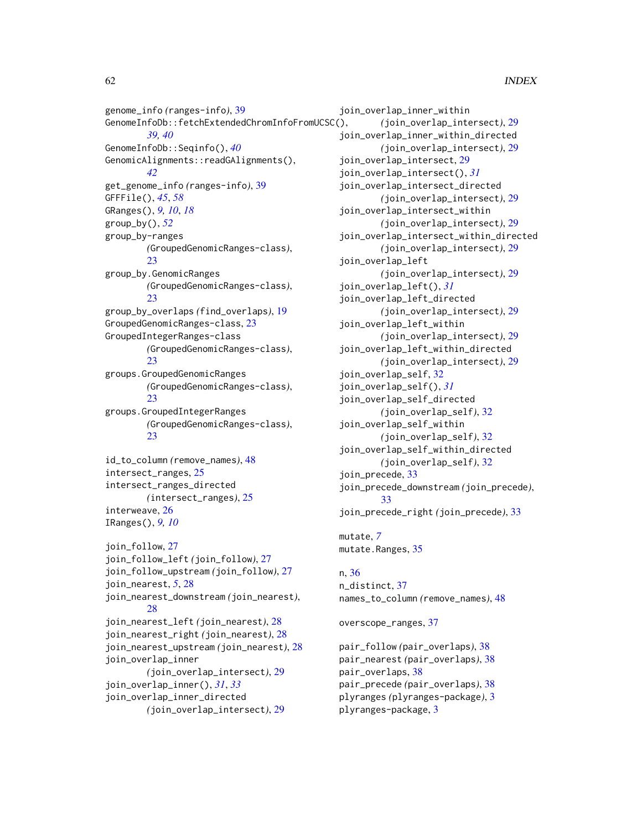# 62 INDEX

genome\_info *(*ranges-info*)*, [39](#page-38-0) GenomeInfoDb::fetchExtendedChromInfoFromUCSC(), *[39,](#page-38-0) [40](#page-39-0)* GenomeInfoDb::Seqinfo(), *[40](#page-39-0)* GenomicAlignments::readGAlignments(), *[42](#page-41-0)* get\_genome\_info *(*ranges-info*)*, [39](#page-38-0) GFFFile(), *[45](#page-44-0)*, *[58](#page-57-0)* GRanges(), *[9,](#page-8-0) [10](#page-9-0)*, *[18](#page-17-0)* group\_by(), *[52](#page-51-0)* group\_by-ranges *(*GroupedGenomicRanges-class*)*, [23](#page-22-0) group\_by.GenomicRanges *(*GroupedGenomicRanges-class*)*,  $23$ group\_by\_overlaps *(*find\_overlaps*)*, [19](#page-18-0) GroupedGenomicRanges-class, [23](#page-22-0) GroupedIntegerRanges-class *(*GroupedGenomicRanges-class*)*, [23](#page-22-0) groups.GroupedGenomicRanges *(*GroupedGenomicRanges-class*)*, [23](#page-22-0) groups.GroupedIntegerRanges *(*GroupedGenomicRanges-class*)*, [23](#page-22-0) id\_to\_column *(*remove\_names*)*, [48](#page-47-0) intersect\_ranges, [25](#page-24-0) intersect\_ranges\_directed *(*intersect\_ranges*)*, [25](#page-24-0) interweave, [26](#page-25-0) IRanges(), *[9,](#page-8-0) [10](#page-9-0)* join\_follow, [27](#page-26-0) join\_follow\_left *(*join\_follow*)*, [27](#page-26-0) join\_follow\_upstream *(*join\_follow*)*, [27](#page-26-0)

join\_nearest, *[5](#page-4-0)*, [28](#page-27-0) join\_nearest\_downstream *(*join\_nearest*)*, [28](#page-27-0) join\_nearest\_left *(*join\_nearest*)*, [28](#page-27-0) join\_nearest\_right *(*join\_nearest*)*, [28](#page-27-0) join\_nearest\_upstream *(*join\_nearest*)*, [28](#page-27-0) join\_overlap\_inner *(*join\_overlap\_intersect*)*, [29](#page-28-0) join\_overlap\_inner(), *[31](#page-30-0)*, *[33](#page-32-0)* join\_overlap\_inner\_directed *(*join\_overlap\_intersect*)*, [29](#page-28-0)

join\_overlap\_inner\_within *(*join\_overlap\_intersect*)*, [29](#page-28-0) join\_overlap\_inner\_within\_directed *(*join\_overlap\_intersect*)*, [29](#page-28-0) join\_overlap\_intersect, [29](#page-28-0) join\_overlap\_intersect(), *[31](#page-30-0)* join\_overlap\_intersect\_directed *(*join\_overlap\_intersect*)*, [29](#page-28-0) join\_overlap\_intersect\_within *(*join\_overlap\_intersect*)*, [29](#page-28-0) join\_overlap\_intersect\_within\_directed *(*join\_overlap\_intersect*)*, [29](#page-28-0) join\_overlap\_left *(*join\_overlap\_intersect*)*, [29](#page-28-0) join\_overlap\_left(), *[31](#page-30-0)* join\_overlap\_left\_directed *(*join\_overlap\_intersect*)*, [29](#page-28-0) join\_overlap\_left\_within *(*join\_overlap\_intersect*)*, [29](#page-28-0) join\_overlap\_left\_within\_directed *(*join\_overlap\_intersect*)*, [29](#page-28-0) join\_overlap\_self, [32](#page-31-0) join\_overlap\_self(), *[31](#page-30-0)* join\_overlap\_self\_directed *(*join\_overlap\_self*)*, [32](#page-31-0) join\_overlap\_self\_within *(*join\_overlap\_self*)*, [32](#page-31-0) join\_overlap\_self\_within\_directed *(*join\_overlap\_self*)*, [32](#page-31-0) join\_precede, [33](#page-32-0) join\_precede\_downstream *(*join\_precede*)*, [33](#page-32-0) join\_precede\_right *(*join\_precede*)*, [33](#page-32-0)

mutate, *[7](#page-6-0)* mutate.Ranges, [35](#page-34-0)

# n, [36](#page-35-0)

n\_distinct, [37](#page-36-0) names\_to\_column *(*remove\_names*)*, [48](#page-47-0)

overscope\_ranges, [37](#page-36-0)

pair\_follow *(*pair\_overlaps*)*, [38](#page-37-0) pair\_nearest *(*pair\_overlaps*)*, [38](#page-37-0) pair\_overlaps, [38](#page-37-0) pair\_precede *(*pair\_overlaps*)*, [38](#page-37-0) plyranges *(*plyranges-package*)*, [3](#page-2-0) plyranges-package, [3](#page-2-0)